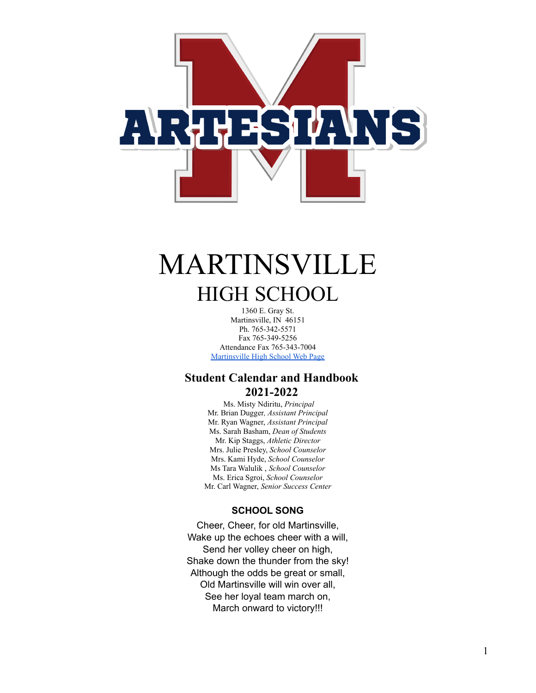

# MARTINSVILLE HIGH SCHOOL

1360 E. Gray St. Martinsville, IN 46151 Ph. 765-342-5571 Fax 765-349-5256 Attendance Fax 765-343-7004 [Martinsville High School Web Page](http://www.msdofmartinsville.org/index.php/high-schools/martinsville-high-school)

## **Student Calendar and Handbook 2021-2022**

Ms. Misty Ndiritu, *Principal* Mr. Brian Dugger*, Assistant Principal* Mr. Ryan Wagner, *Assistant Principal* Ms. Sarah Basham, *Dean of Students* Mr. Kip Staggs, *Athletic Director* Mrs. Julie Presley, *School Counselor* Mrs. Kami Hyde, *School Counselor* Ms Tara Walulik , *School Counselor* Ms. Erica Sgroi, *School Counselor* Mr. Carl Wagner, *Senior Success Center*

## **SCHOOL SONG**

Cheer, Cheer, for old Martinsville, Wake up the echoes cheer with a will, Send her volley cheer on high, Shake down the thunder from the sky! Although the odds be great or small, Old Martinsville will win over all, See her loyal team march on, March onward to victory!!!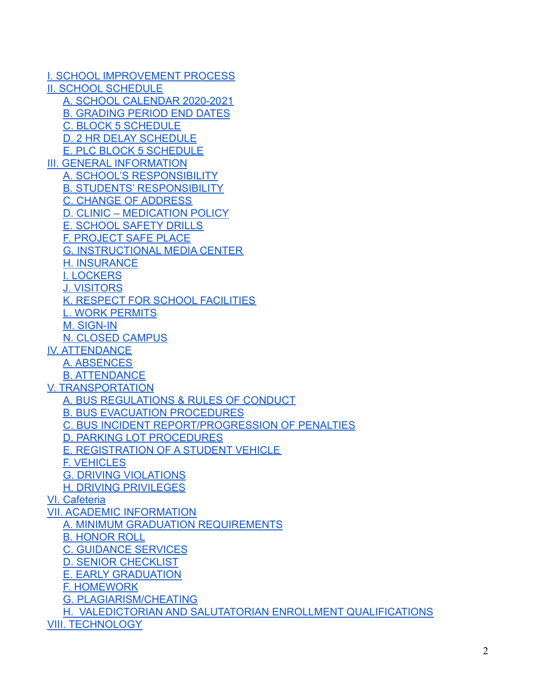[I. SCHOOL IMPROVEMENT PROCESS](#page-4-0) [II. SCHOOL SCHEDULE](#page-5-0) [A. SCHOOL CALENDAR 2020-20](#page-5-1)21 B. GRADING PERIOD END DATES [C. BLOCK 5 SCHEDULE](#page-5-2) [D. 2 HR DELAY SCHEDULE](#page-6-0) E. PLC BLOCK 5 SCHEDULE III. GENERAL INFORMATION [A. SCHOOL'S RESPONSIBILITY](#page-6-1) [B. STUDENTS' RESPONSIBILITY](#page-6-2) [C. CHANGE OF ADDRESS](#page-6-3) [D. CLINIC – MEDICATION POLICY](#page-6-4) [E. SCHOOL SAFETY DRILLS](#page-6-5) [F. PROJECT SAFE PLACE](#page-7-0) [G. INSTRUCTIONAL MEDIA CENTER](#page-7-1) [H. INSURANCE](#page-7-2) [I. LOCKERS](#page-7-3) [J. VISITORS](#page-7-4) [K. RESPECT FOR SCHOOL FACILITIES](#page-7-5) L. WORK PERMITS [M. SIGN-IN](#page-8-0) [N. CLOSED CAMPUS](#page-8-1) [IV. ATTENDANCE](#page-8-2) [A. ABSENCES](#page-8-3) [B. ATTENDANCE](#page-8-4) [V. TRANSPORTATION](#page-9-0) [A. BUS REGULATIONS & RULES OF CONDUCT](#page-9-1) [B. BUS EVACUATION PROCEDURES](#page-9-2) [C. BUS INCIDENT REPORT/PROGRESSION OF PENALTIES](#page-10-0) [D. PARKING LOT PROCEDURES](#page-10-1) [E. REGISTRATION OF A STUDENT VEHICLE](#page-10-2) [F. VEHICLES](#page-10-3) [G. DRIVING VIOLATIONS](#page-10-4) [H. DRIVING PRIVILEGES](#page-10-5) [VI. Cafeteria](#page-11-0) [VII. ACADEMIC INFORMATION](#page-12-0) [A. MINIMUM GRADUATION REQUIREMENTS](#page-12-1) [B. HONOR ROLL](#page-13-0) [C. GUIDANCE SERVICES](#page-13-1) D. SENIOR CHECKLIST E. EARLY GRADUATION [F. HOMEWORK](#page-13-2) [G. PLAGIARISM/CHEATING](#page-13-3) [H. VALEDICTORIAN AND SALUTATORIAN ENROLLMENT QUALIFICATIONS](#page-12-0) [VIII. TECHNOLOGY](#page-14-0)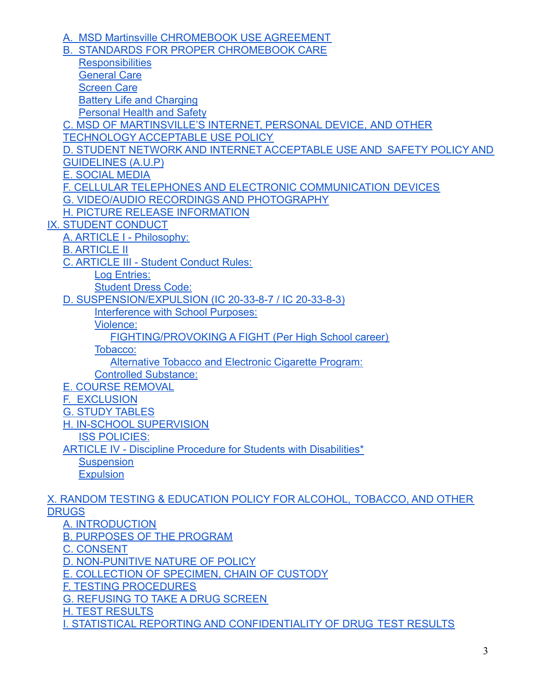[A. MSD Martinsville CHROMEBOOK USE AGREEMENT](#page-14-1) [B. STANDARDS FOR PROPER CHROMEBOOK CARE](#page-16-0) **[Responsibilities](#page-16-1)** [General Care](#page-16-2) [Screen Care](#page-16-3) [Battery Life and Charging](#page-17-0) [Personal Health and Safety](#page-17-1) C. MSD OF MARTINSVILLE'S INTERNET, PERSONAL DEVICE, AND OTHER TECHNOLOGY ACCEPTABLE USE POLICY [D. STUDENT NETWORK AND INTERNET](#page-17-2) ACCEPTABLE USE AND SAFETY POLICY AND [GUIDELINES \(A.U.P\)](#page-17-2) [E. SOCIAL MEDIA](#page-23-0) [F. CELLULAR TELEPHONES AND ELECTRONIC COMMUNICATION](#page-24-0) DEVICES [G. VIDEO/AUDIO RECORDINGS AND PHOTOGRAPHY](#page-24-1) [H. PICTURE RELEASE INFORMATION](#page-24-2) [IX. STUDENT CONDUCT](#page-24-3) [A. ARTICLE I - Philosophy:](#page-24-4) [B. ARTICLE II](#page-25-0) [C. ARTICLE III - Student Conduct Rules:](#page-25-1) [Log Entries:](#page-25-2) [Student Dress Code:](#page-26-0) [D. SUSPENSION/EXPULSION \(IC 20-33-8-7 / IC 20-33-8-3\)](#page-26-1) [Interference with School Purposes:](#page-26-2) Violence: [FIGHTING/PROVOKING A FIGHT \(Per High School career\)](#page-29-0) [Tobacco:](#page-29-1) Alternative Tobacco and Electronic Cigarette Program: [Controlled Substance:](#page-29-2) [E.](#page-30-0) COURSE REMOVAL F. [EXCLUSION](#page-30-1) [G. STUDY](#page-30-2) TABLES [H. IN-SCHOOL SUPERVISION](#page-30-3) [ISS POLICIES:](#page-31-0) [ARTICLE IV - Discipline Procedure for Students with](#page-31-1) Disabilities\* **[Suspension](#page-31-2) [Expulsion](#page-32-0)** 

[X. RANDOM TESTING & EDUCATION POLICY FOR ALCOHOL,](#page-32-1) TOBACCO, AND OTHER **[DRUGS](#page-32-1)** 

[A. INTRODUCTION](#page-32-2) [B. PURPOSES OF THE PROGRAM](#page-32-3) [C. CONSENT](#page-33-0) [D. NON-PUNITIVE NATURE OF POLICY](#page-33-1) [E. COLLECTION OF SPECIMEN, CHAIN OF CUSTODY](#page-34-0) [F. TESTING PROCEDURES](#page-34-1) [G. REFUSING TO TAKE A DRUG SCREEN](#page-34-2) [H. TEST RESULTS](#page-34-3) [I. STATISTICAL REPORTING AND CONFIDENTIALITY OF DRUG](#page-35-0) TEST RESULTS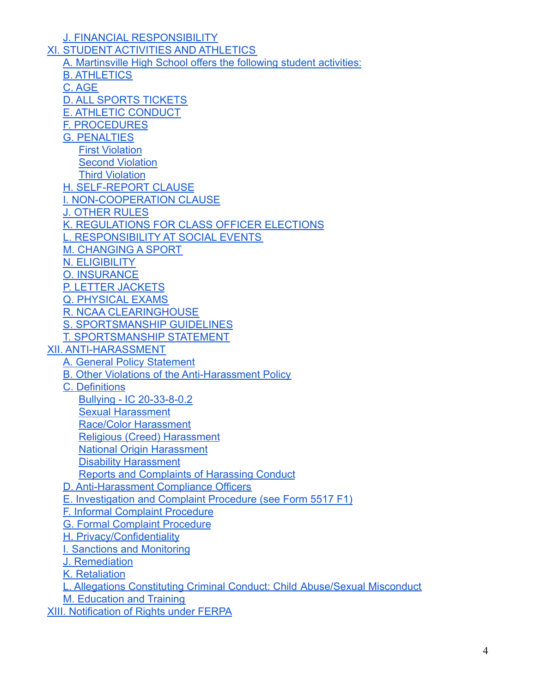[J. FINANCIAL RESPONSIBILITY](#page-35-1) XI. STUDENT [ACTIVITIES AND ATHLETICS](#page-35-2) A. Martinsville High School offers the following student activities: B. ATHLETICS C. AGE D. ALL SPORTS TICKETS E. ATHLETIC CONDUCT F. PROCEDURES G. PENALTIES First Violation Second Violation Third Violation H. SELF-REPORT CLAUSE I. NON-COOPERATION CLAUSE J. OTHER RULES K. REGULATIONS FOR CLASS OFFICER ELECTIONS L. RESPONSIBILITY AT SOCIAL EVENTS M. CHANGING A SPORT N. ELIGIBILITY O. INSURANCE P. LETTER JACKETS Q. PHYSICAL EXAMS R. NCAA CLEARINGHOUSE S. SPORTSMANSHIP GUIDELINES T. SPORTSMANSHIP STATEMENT [XII. ANTI-HARASSMENT](#page-39-0) [A. General Policy Statement](#page-40-0) [B. Other Violations of the Anti-Harassment Policy](#page-40-1) [C. Definitions](#page-40-2) [Bullying - IC 20-33-8-0.2](#page-40-3) [Sexual Harassment](#page-41-0) [Race/Color Harassment](#page-42-0) [Religious \(Creed\) Harassment](#page-42-1) [National Origin Harassment](#page-42-2) [Disability Harassment](#page-42-3) [Reports and Complaints of Harassing Conduct](#page-43-0) [D. Anti-Harassment Compliance Officers](#page-43-1) [E. Investigation and Complaint Procedure \(see Form](#page-44-0) 5517 F1) [F. Informal Complaint Procedure](#page-44-1) [G. Formal Complaint Procedure](#page-45-0) [H. Privacy/Confidentiality](#page-46-0) [I. Sanctions and Monitoring](#page-47-0) [J. Remediation](#page-47-1) [K. Retaliation](#page-47-2) [L. Allegations Constituting Criminal Conduct: Child](#page-47-3) Abuse/Sexual Misconduct [M. Education and Training](#page-48-0) [XIII. Notification of Rights under FERPA](#page-48-1)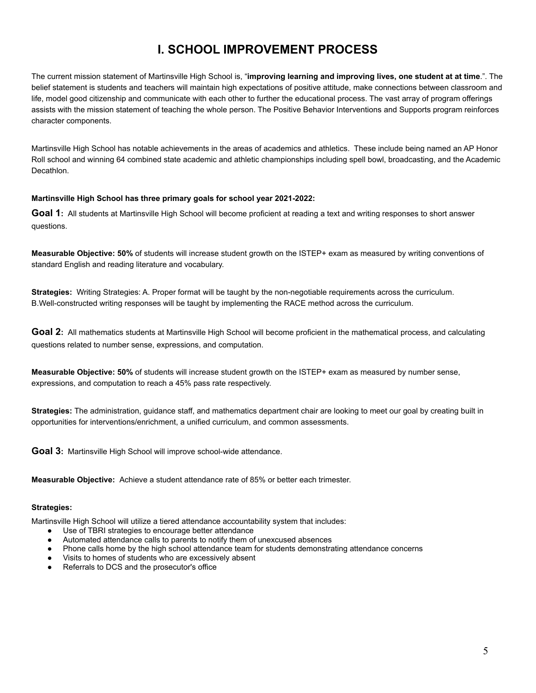## **I. SCHOOL IMPROVEMENT PROCESS**

<span id="page-4-0"></span>The current mission statement of Martinsville High School is, "**improving learning and improving lives, one student at at time**.". The belief statement is students and teachers will maintain high expectations of positive attitude, make connections between classroom and life, model good citizenship and communicate with each other to further the educational process. The vast array of program offerings assists with the mission statement of teaching the whole person. The Positive Behavior Interventions and Supports program reinforces character components.

Martinsville High School has notable achievements in the areas of academics and athletics. These include being named an AP Honor Roll school and winning 64 combined state academic and athletic championships including spell bowl, broadcasting, and the Academic Decathlon.

#### **Martinsville High School has three primary goals for school year 2021-2022:**

**Goal 1:** All students at Martinsville High School will become proficient at reading a text and writing responses to short answer questions.

**Measurable Objective: 50%** of students will increase student growth on the ISTEP+ exam as measured by writing conventions of standard English and reading literature and vocabulary.

**Strategies:** Writing Strategies: A. Proper format will be taught by the non-negotiable requirements across the curriculum. B.Well-constructed writing responses will be taught by implementing the RACE method across the curriculum.

**Goal 2:** All mathematics students at Martinsville High School will become proficient in the mathematical process, and calculating questions related to number sense, expressions, and computation.

**Measurable Objective: 50%** of students will increase student growth on the ISTEP+ exam as measured by number sense, expressions, and computation to reach a 45% pass rate respectively.

**Strategies:** The administration, guidance staff, and mathematics department chair are looking to meet our goal by creating built in opportunities for interventions/enrichment, a unified curriculum, and common assessments.

**Goal 3:** Martinsville High School will improve school-wide attendance.

**Measurable Objective:** Achieve a student attendance rate of 85% or better each trimester.

#### **Strategies:**

Martinsville High School will utilize a tiered attendance accountability system that includes:

- Use of TBRI strategies to encourage better attendance
- Automated attendance calls to parents to notify them of unexcused absences
- Phone calls home by the high school attendance team for students demonstrating attendance concerns
- Visits to homes of students who are excessively absent
- Referrals to DCS and the prosecutor's office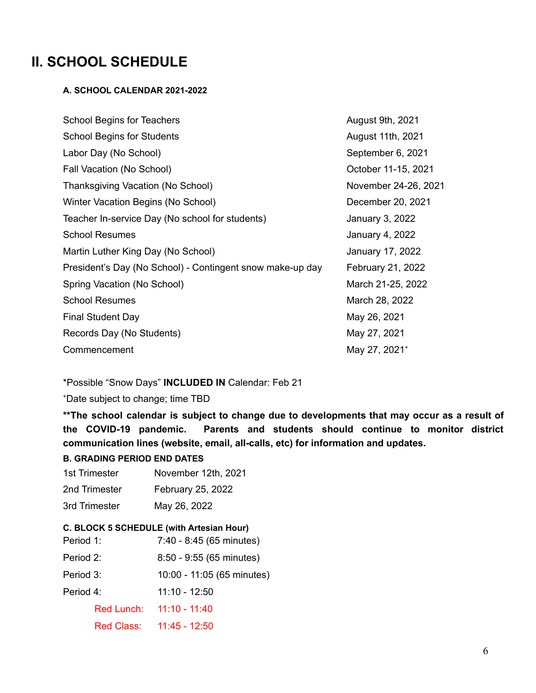## <span id="page-5-1"></span><span id="page-5-0"></span>**II. SCHOOL SCHEDULE**

## **A. SCHOOL CALENDAR 2021-2022**

| <b>School Begins for Teachers</b>                         | August 9th, 2021          |
|-----------------------------------------------------------|---------------------------|
| <b>School Begins for Students</b>                         | August 11th, 2021         |
| Labor Day (No School)                                     | September 6, 2021         |
| Fall Vacation (No School)                                 | October 11-15, 2021       |
| Thanksgiving Vacation (No School)                         | November 24-26, 2021      |
| Winter Vacation Begins (No School)                        | December 20, 2021         |
| Teacher In-service Day (No school for students)           | January 3, 2022           |
| <b>School Resumes</b>                                     | January 4, 2022           |
| Martin Luther King Day (No School)                        | January 17, 2022          |
| President's Day (No School) - Contingent snow make-up day | February 21, 2022         |
| Spring Vacation (No School)                               | March 21-25, 2022         |
| <b>School Resumes</b>                                     | March 28, 2022            |
| <b>Final Student Day</b>                                  | May 26, 2021              |
| Records Day (No Students)                                 | May 27, 2021              |
| Commencement                                              | May 27, 2021 <sup>+</sup> |

\*Possible "Snow Days" **INCLUDED IN** Calendar: Feb 21

<sup>+</sup>Date subject to change; time TBD

**\*\*The school calendar is subject to change due to developments that may occur as a result of the COVID-19 pandemic. Parents and students should continue to monitor district communication lines (website, email, all-calls, etc) for information and updates.**

## **B. GRADING PERIOD END DATES**

1st Trimester November 12th, 2021 2nd Trimester February 25, 2022 3rd Trimester May 26, 2022

## <span id="page-5-2"></span>**C. BLOCK 5 SCHEDULE (with Artesian Hour)**

| Period 1: |            | 7:40 - 8:45 (65 minutes)   |
|-----------|------------|----------------------------|
| Period 2: |            | $8:50 - 9:55$ (65 minutes) |
| Period 3: |            | 10:00 - 11:05 (65 minutes) |
| Period 4: |            | 11:10 - 12:50              |
|           | Red Lunch: | $11:10 - 11:40$            |
|           | Red Class: | $11:45 - 12:50$            |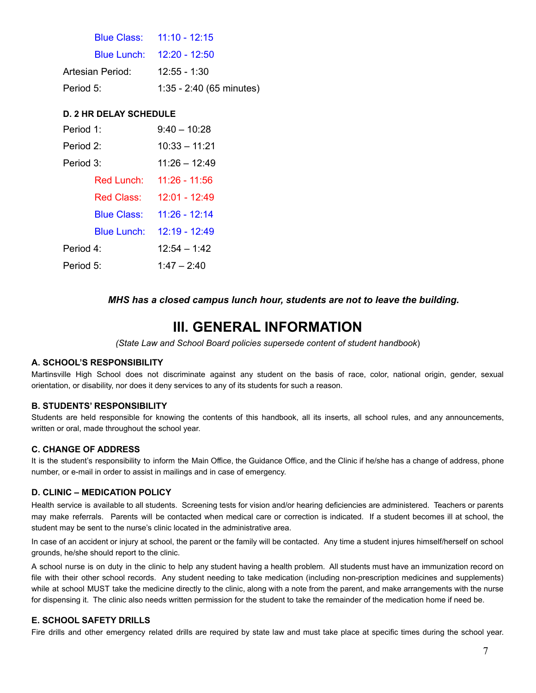|                  | Blue Class: 11:10 - 12:15  |
|------------------|----------------------------|
|                  | Blue Lunch: 12:20 - 12:50  |
| Artesian Period: | $12:55 - 1:30$             |
| Period 5:        | $1:35 - 2:40$ (65 minutes) |

## <span id="page-6-0"></span>**D. 2 HR DELAY SCHEDULE**

| Period 1: |                    | $9:40 - 10:28$  |
|-----------|--------------------|-----------------|
| Period 2: |                    | $10:33 - 11:21$ |
| Period 3: |                    | 11:26 - 12:49   |
|           | Red Lunch:         | 11:26 - 11:56   |
|           | Red Class:         | 12:01 - 12:49   |
|           | <b>Blue Class:</b> | 11:26 - 12:14   |
|           | <b>Blue Lunch:</b> | 12:19 - 12:49   |
| Period 4: |                    | $12:54 - 1:42$  |
| Period 5: |                    | $1:47 - 2:40$   |

## *MHS has a closed campus lunch hour, students are not to leave the building.*

## **III. GENERAL INFORMATION**

*(State Law and School Board policies supersede content of student handbook*)

## <span id="page-6-1"></span>**A. SCHOOL'S RESPONSIBILITY**

Martinsville High School does not discriminate against any student on the basis of race, color, national origin, gender, sexual orientation, or disability, nor does it deny services to any of its students for such a reason.

#### <span id="page-6-2"></span>**B. STUDENTS' RESPONSIBILITY**

Students are held responsible for knowing the contents of this handbook, all its inserts, all school rules, and any announcements, written or oral, made throughout the school year.

#### <span id="page-6-3"></span>**C. CHANGE OF ADDRESS**

It is the student's responsibility to inform the Main Office, the Guidance Office, and the Clinic if he/she has a change of address, phone number, or e-mail in order to assist in mailings and in case of emergency.

#### <span id="page-6-4"></span>**D. CLINIC – MEDICATION POLICY**

Health service is available to all students. Screening tests for vision and/or hearing deficiencies are administered. Teachers or parents may make referrals. Parents will be contacted when medical care or correction is indicated. If a student becomes ill at school, the student may be sent to the nurse's clinic located in the administrative area.

In case of an accident or injury at school, the parent or the family will be contacted. Any time a student injures himself/herself on school grounds, he/she should report to the clinic.

A school nurse is on duty in the clinic to help any student having a health problem. All students must have an immunization record on file with their other school records. Any student needing to take medication (including non-prescription medicines and supplements) while at school MUST take the medicine directly to the clinic, along with a note from the parent, and make arrangements with the nurse for dispensing it. The clinic also needs written permission for the student to take the remainder of the medication home if need be.

## <span id="page-6-5"></span>**E. SCHOOL SAFETY DRILLS**

Fire drills and other emergency related drills are required by state law and must take place at specific times during the school year.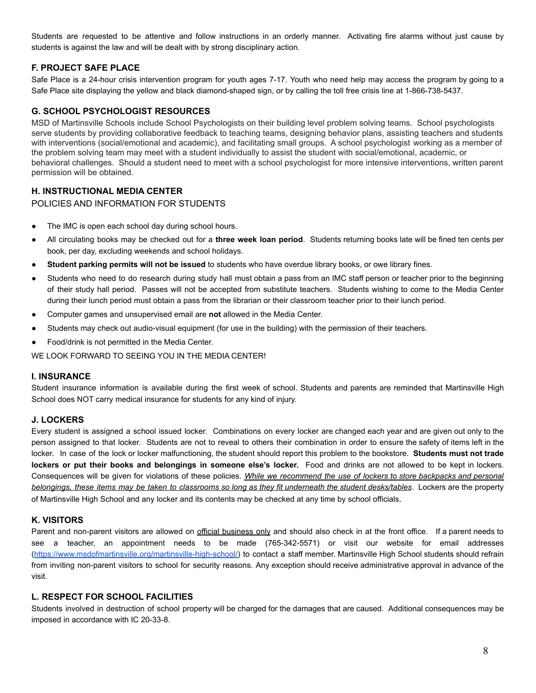Students are requested to be attentive and follow instructions in an orderly manner. Activating fire alarms without just cause by students is against the law and will be dealt with by strong disciplinary action.

## <span id="page-7-0"></span>**F. PROJECT SAFE PLACE**

Safe Place is a 24-hour crisis intervention program for youth ages 7-17. Youth who need help may access the program by going to a Safe Place site displaying the yellow and black diamond-shaped sign, or by calling the toll free crisis line at 1-866-738-5437.

### **G. SCHOOL PSYCHOLOGIST RESOURCES**

MSD of Martinsville Schools include School Psychologists on their building level problem solving teams. School psychologists serve students by providing collaborative feedback to teaching teams, designing behavior plans, assisting teachers and students with interventions (social/emotional and academic), and facilitating small groups. A school psychologist working as a member of the problem solving team may meet with a student individually to assist the student with social/emotional, academic, or behavioral challenges. Should a student need to meet with a school psychologist for more intensive interventions, written parent permission will be obtained.

#### <span id="page-7-1"></span>**H. INSTRUCTIONAL MEDIA CENTER**

#### POLICIES AND INFORMATION FOR STUDENTS

- The IMC is open each school day during school hours.
- All circulating books may be checked out for a **three week loan period**. Students returning books late will be fined ten cents per book, per day, excluding weekends and school holidays.
- **Student parking permits will not be issued** to students who have overdue library books, or owe library fines.
- Students who need to do research during study hall must obtain a pass from an IMC staff person or teacher prior to the beginning of their study hall period. Passes will not be accepted from substitute teachers. Students wishing to come to the Media Center during their lunch period must obtain a pass from the librarian or their classroom teacher prior to their lunch period.
- Computer games and unsupervised email are **not** allowed in the Media Center.
- Students may check out audio-visual equipment (for use in the building) with the permission of their teachers.
- Food/drink is not permitted in the Media Center.

WE LOOK FORWARD TO SEEING YOU IN THE MEDIA CENTER!

#### <span id="page-7-2"></span>**I. INSURANCE**

Student insurance information is available during the first week of school. Students and parents are reminded that Martinsville High School does NOT carry medical insurance for students for any kind of injury.

#### <span id="page-7-3"></span>**J. LOCKERS**

Every student is assigned a school issued locker. Combinations on every locker are changed each year and are given out only to the person assigned to that locker. Students are not to reveal to others their combination in order to ensure the safety of items left in the locker. In case of the lock or locker malfunctioning, the student should report this problem to the bookstore. **Students must not trade lockers or put their books and belongings in someone else's locker.** Food and drinks are not allowed to be kept in lockers. Consequences will be given for violations of these policies. *While we recommend the use of lockers to store backpacks and personal* belongings, these items may be taken to classrooms so long as they fit underneath the student desks/tables. Lockers are the property of Martinsville High School and any locker and its contents may be checked at any time by school officials.

#### <span id="page-7-4"></span>**K. VISITORS**

Parent and non-parent visitors are allowed on official business only and should also check in at the front office. If a parent needs to see a teacher, an appointment needs to be made (765-342-5571) or visit our website for email addresses ([https://www.msdofmartinsville.org/martinsville-high-school/\)](https://www.msdofmartinsville.org/martinsville-high-school/) to contact a staff member. Martinsville High School students should refrain from inviting non-parent visitors to school for security reasons. Any exception should receive administrative approval in advance of the visit.

#### <span id="page-7-5"></span>**L. RESPECT FOR SCHOOL FACILITIES**

Students involved in destruction of school property will be charged for the damages that are caused. Additional consequences may be imposed in accordance with IC 20-33-8.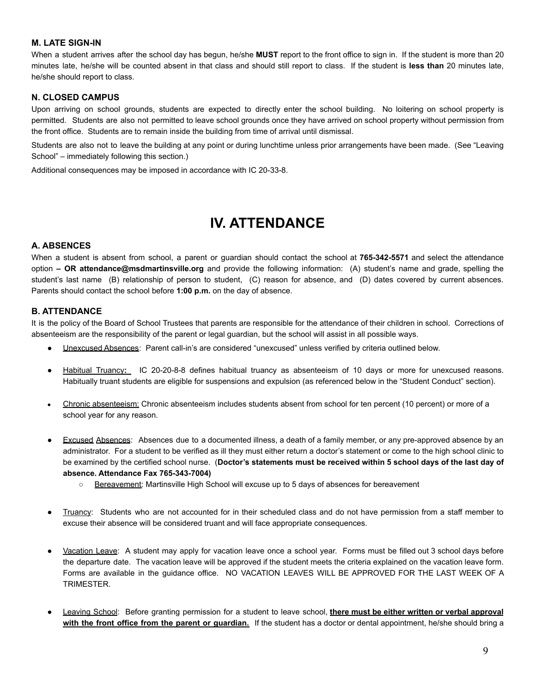## <span id="page-8-0"></span>**M. LATE SIGN-IN**

When a student arrives after the school day has begun, he/she **MUST** report to the front office to sign in. If the student is more than 20 minutes late, he/she will be counted absent in that class and should still report to class. If the student is **less than** 20 minutes late, he/she should report to class.

#### <span id="page-8-1"></span>**N. CLOSED CAMPUS**

Upon arriving on school grounds, students are expected to directly enter the school building. No loitering on school property is permitted. Students are also not permitted to leave school grounds once they have arrived on school property without permission from the front office. Students are to remain inside the building from time of arrival until dismissal.

Students are also not to leave the building at any point or during lunchtime unless prior arrangements have been made. (See "Leaving School" – immediately following this section.)

Additional consequences may be imposed in accordance with IC 20-33-8.

## **IV. ATTENDANCE**

#### <span id="page-8-3"></span><span id="page-8-2"></span>**A. ABSENCES**

When a student is absent from school, a parent or guardian should contact the school at **765-342-5571** and select the attendance option **– OR attendance@msdmartinsville.org** and provide the following information: (A) student's name and grade, spelling the student's last name (B) relationship of person to student, (C) reason for absence, and (D) dates covered by current absences. Parents should contact the school before **1:00 p.m.** on the day of absence.

#### <span id="page-8-4"></span>**B. ATTENDANCE**

It is the policy of the Board of School Trustees that parents are responsible for the attendance of their children in school. Corrections of absenteeism are the responsibility of the parent or legal guardian, but the school will assist in all possible ways.

- Unexcused Absences: Parent call-in's are considered "unexcused" unless verified by criteria outlined below.
- Habitual Truancy: IC 20-20-8-8 defines habitual truancy as absenteeism of 10 days or more for unexcused reasons. Habitually truant students are eligible for suspensions and expulsion (as referenced below in the "Student Conduct" section).
- Chronic absenteeism: Chronic absenteeism includes students absent from school for ten percent (10 percent) or more of a school year for any reason.
- Excused Absences: Absences due to a documented illness, a death of a family member, or any pre-approved absence by an administrator. For a student to be verified as ill they must either return a doctor's statement or come to the high school clinic to be examined by the certified school nurse. (**Doctor's statements must be received within 5 school days of the last day of absence. Attendance Fax 765-343-7004)**
	- Bereavement: Martinsville High School will excuse up to 5 days of absences for bereavement
- Truancy: Students who are not accounted for in their scheduled class and do not have permission from a staff member to excuse their absence will be considered truant and will face appropriate consequences.
- Vacation Leave: A student may apply for vacation leave once a school year. Forms must be filled out 3 school days before the departure date. The vacation leave will be approved if the student meets the criteria explained on the vacation leave form. Forms are available in the guidance office. NO VACATION LEAVES WILL BE APPROVED FOR THE LAST WEEK OF A TRIMESTER.
- Leaving School: Before granting permission for a student to leave school, **there must be either written or verbal approval with the front office from the parent or guardian.** If the student has a doctor or dental appointment, he/she should bring a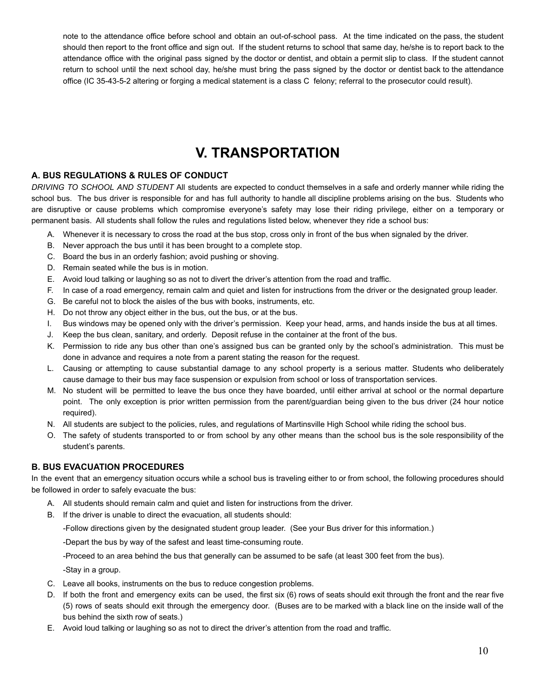note to the attendance office before school and obtain an out-of-school pass. At the time indicated on the pass, the student should then report to the front office and sign out. If the student returns to school that same day, he/she is to report back to the attendance office with the original pass signed by the doctor or dentist, and obtain a permit slip to class. If the student cannot return to school until the next school day, he/she must bring the pass signed by the doctor or dentist back to the attendance office (IC 35-43-5-2 altering or forging a medical statement is a class C felony; referral to the prosecutor could result).

## **V. TRANSPORTATION**

## <span id="page-9-1"></span><span id="page-9-0"></span>**A. BUS REGULATIONS & RULES OF CONDUCT**

*DRIVING TO SCHOOL AND STUDENT* All students are expected to conduct themselves in a safe and orderly manner while riding the school bus. The bus driver is responsible for and has full authority to handle all discipline problems arising on the bus. Students who are disruptive or cause problems which compromise everyone's safety may lose their riding privilege, either on a temporary or permanent basis. All students shall follow the rules and regulations listed below, whenever they ride a school bus:

- A. Whenever it is necessary to cross the road at the bus stop, cross only in front of the bus when signaled by the driver.
- B. Never approach the bus until it has been brought to a complete stop.
- C. Board the bus in an orderly fashion; avoid pushing or shoving.
- D. Remain seated while the bus is in motion.
- E. Avoid loud talking or laughing so as not to divert the driver's attention from the road and traffic.
- F. In case of a road emergency, remain calm and quiet and listen for instructions from the driver or the designated group leader.
- G. Be careful not to block the aisles of the bus with books, instruments, etc.
- H. Do not throw any object either in the bus, out the bus, or at the bus.
- I. Bus windows may be opened only with the driver's permission. Keep your head, arms, and hands inside the bus at all times.
- J. Keep the bus clean, sanitary, and orderly. Deposit refuse in the container at the front of the bus.
- K. Permission to ride any bus other than one's assigned bus can be granted only by the school's administration. This must be done in advance and requires a note from a parent stating the reason for the request.
- L. Causing or attempting to cause substantial damage to any school property is a serious matter. Students who deliberately cause damage to their bus may face suspension or expulsion from school or loss of transportation services.
- M. No student will be permitted to leave the bus once they have boarded, until either arrival at school or the normal departure point. The only exception is prior written permission from the parent/guardian being given to the bus driver (24 hour notice required).
- N. All students are subject to the policies, rules, and regulations of Martinsville High School while riding the school bus.
- O. The safety of students transported to or from school by any other means than the school bus is the sole responsibility of the student's parents.

## <span id="page-9-2"></span>**B. BUS EVACUATION PROCEDURES**

In the event that an emergency situation occurs while a school bus is traveling either to or from school, the following procedures should be followed in order to safely evacuate the bus:

- A. All students should remain calm and quiet and listen for instructions from the driver.
- B. If the driver is unable to direct the evacuation, all students should:

-Follow directions given by the designated student group leader. (See your Bus driver for this information.)

-Depart the bus by way of the safest and least time-consuming route.

-Proceed to an area behind the bus that generally can be assumed to be safe (at least 300 feet from the bus).

-Stay in a group.

- C. Leave all books, instruments on the bus to reduce congestion problems.
- D. If both the front and emergency exits can be used, the first six (6) rows of seats should exit through the front and the rear five (5) rows of seats should exit through the emergency door. (Buses are to be marked with a black line on the inside wall of the bus behind the sixth row of seats.)
- E. Avoid loud talking or laughing so as not to direct the driver's attention from the road and traffic.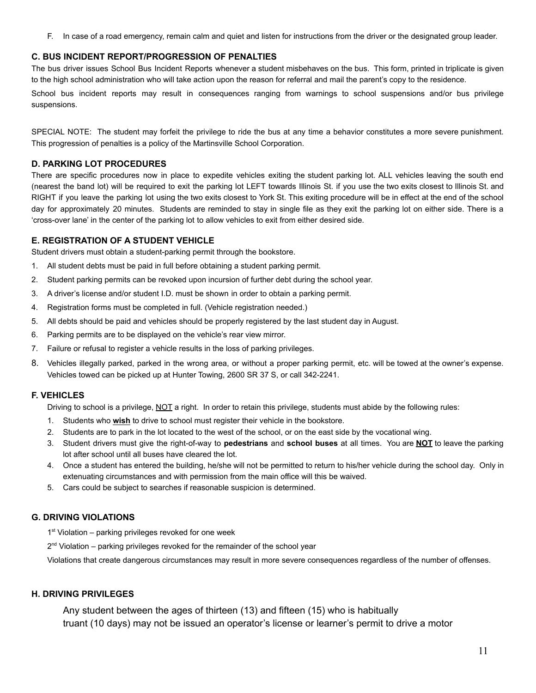F. In case of a road emergency, remain calm and quiet and listen for instructions from the driver or the designated group leader.

#### <span id="page-10-0"></span>**C. BUS INCIDENT REPORT/PROGRESSION OF PENALTIES**

The bus driver issues School Bus Incident Reports whenever a student misbehaves on the bus. This form, printed in triplicate is given to the high school administration who will take action upon the reason for referral and mail the parent's copy to the residence.

School bus incident reports may result in consequences ranging from warnings to school suspensions and/or bus privilege suspensions.

SPECIAL NOTE: The student may forfeit the privilege to ride the bus at any time a behavior constitutes a more severe punishment. This progression of penalties is a policy of the Martinsville School Corporation.

#### <span id="page-10-1"></span>**D. PARKING LOT PROCEDURES**

There are specific procedures now in place to expedite vehicles exiting the student parking lot. ALL vehicles leaving the south end (nearest the band lot) will be required to exit the parking lot LEFT towards Illinois St. if you use the two exits closest to Illinois St. and RIGHT if you leave the parking lot using the two exits closest to York St. This exiting procedure will be in effect at the end of the school day for approximately 20 minutes. Students are reminded to stay in single file as they exit the parking lot on either side. There is a 'cross-over lane' in the center of the parking lot to allow vehicles to exit from either desired side.

#### <span id="page-10-2"></span>**E. REGISTRATION OF A STUDENT VEHICLE**

Student drivers must obtain a student-parking permit through the bookstore.

- 1. All student debts must be paid in full before obtaining a student parking permit.
- 2. Student parking permits can be revoked upon incursion of further debt during the school year.
- 3. A driver's license and/or student I.D. must be shown in order to obtain a parking permit.
- 4. Registration forms must be completed in full. (Vehicle registration needed.)
- 5. All debts should be paid and vehicles should be properly registered by the last student day in August.
- 6. Parking permits are to be displayed on the vehicle's rear view mirror.
- 7. Failure or refusal to register a vehicle results in the loss of parking privileges.
- 8. Vehicles illegally parked, parked in the wrong area, or without a proper parking permit, etc. will be towed at the owner's expense. Vehicles towed can be picked up at Hunter Towing, 2600 SR 37 S, or call 342-2241.

## <span id="page-10-3"></span>**F. VEHICLES**

Driving to school is a privilege, NOT a right. In order to retain this privilege, students must abide by the following rules:

- 1. Students who **wish** to drive to school must register their vehicle in the bookstore.
- 2. Students are to park in the lot located to the west of the school, or on the east side by the vocational wing.
- 3. Student drivers must give the right-of-way to **pedestrians** and **school buses** at all times. You are **NOT** to leave the parking lot after school until all buses have cleared the lot.
- 4. Once a student has entered the building, he/she will not be permitted to return to his/her vehicle during the school day. Only in extenuating circumstances and with permission from the main office will this be waived.
- 5. Cars could be subject to searches if reasonable suspicion is determined.

## <span id="page-10-4"></span>**G. DRIVING VIOLATIONS**

- 1<sup>st</sup> Violation parking privileges revoked for one week
- 2<sup>nd</sup> Violation parking privileges revoked for the remainder of the school year

Violations that create dangerous circumstances may result in more severe consequences regardless of the number of offenses.

## <span id="page-10-5"></span>**H. DRIVING PRIVILEGES**

Any student between the ages of thirteen (13) and fifteen (15) who is habitually truant (10 days) may not be issued an operator's license or learner's permit to drive a motor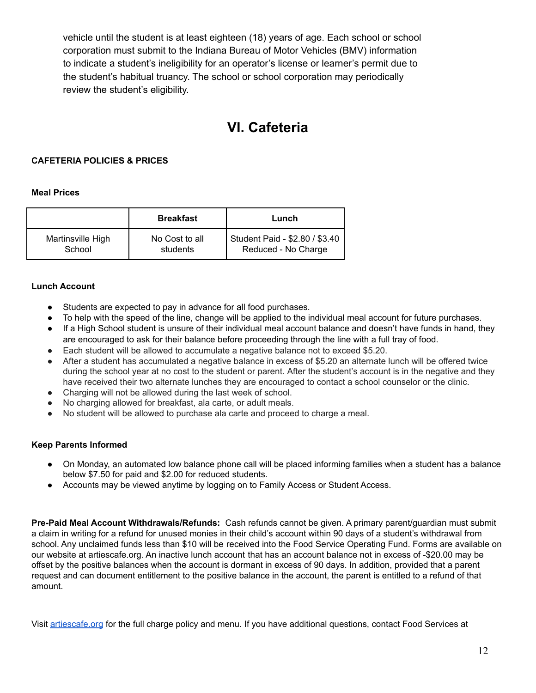vehicle until the student is at least eighteen (18) years of age. Each school or school corporation must submit to the Indiana Bureau of Motor Vehicles (BMV) information to indicate a student's ineligibility for an operator's license or learner's permit due to the student's habitual truancy. The school or school corporation may periodically review the student's eligibility.

## **VI. Cafeteria**

## <span id="page-11-0"></span>**CAFETERIA POLICIES & PRICES**

#### **Meal Prices**

|                   | <b>Breakfast</b> | Lunch                          |
|-------------------|------------------|--------------------------------|
| Martinsville High | No Cost to all   | Student Paid - \$2.80 / \$3.40 |
| School            | students         | Reduced - No Charge            |

#### **Lunch Account**

- Students are expected to pay in advance for all food purchases.
- To help with the speed of the line, change will be applied to the individual meal account for future purchases.
- If a High School student is unsure of their individual meal account balance and doesn't have funds in hand, they are encouraged to ask for their balance before proceeding through the line with a full tray of food.
- Each student will be allowed to accumulate a negative balance not to exceed \$5.20.
- After a student has accumulated a negative balance in excess of \$5.20 an alternate lunch will be offered twice during the school year at no cost to the student or parent. After the student's account is in the negative and they have received their two alternate lunches they are encouraged to contact a school counselor or the clinic.
- Charging will not be allowed during the last week of school.
- No charging allowed for breakfast, ala carte, or adult meals.
- No student will be allowed to purchase ala carte and proceed to charge a meal.

## **Keep Parents Informed**

- On Monday, an automated low balance phone call will be placed informing families when a student has a balance below \$7.50 for paid and \$2.00 for reduced students.
- Accounts may be viewed anytime by logging on to Family Access or Student Access.

**Pre-Paid Meal Account Withdrawals/Refunds:** Cash refunds cannot be given. A primary parent/guardian must submit a claim in writing for a refund for unused monies in their child's account within 90 days of a student's withdrawal from school. Any unclaimed funds less than \$10 will be received into the Food Service Operating Fund. Forms are available on our website at artiescafe.org. An inactive lunch account that has an account balance not in excess of -\$20.00 may be offset by the positive balances when the account is dormant in excess of 90 days. In addition, provided that a parent request and can document entitlement to the positive balance in the account, the parent is entitled to a refund of that amount.

Visit [artiescafe.org](http://artiescafe.org/) for the full charge policy and menu. If you have additional questions, contact Food Services at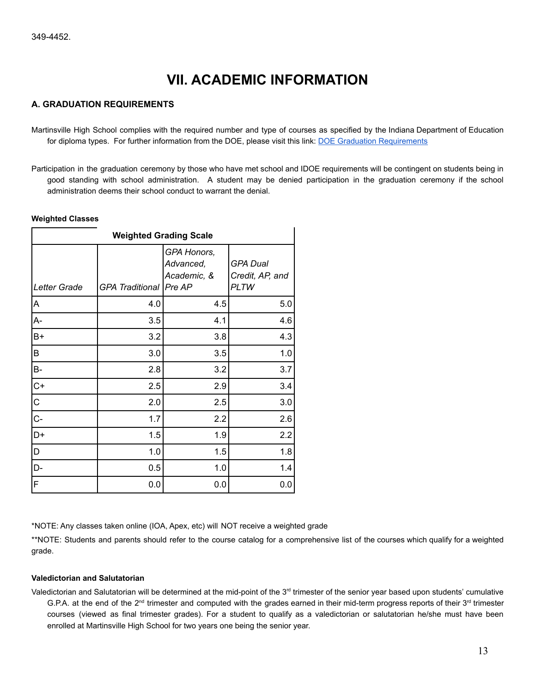## **VII. ACADEMIC INFORMATION**

#### <span id="page-12-1"></span><span id="page-12-0"></span>**A. GRADUATION REQUIREMENTS**

Martinsville High School complies with the required number and type of courses as specified by the Indiana Department of Education for diploma types. For further information from the DOE, please visit this link: [DOE Graduation Requirements](https://www.doe.in.gov/school-improvement/student-assistance/indiana-graduation-requirements)

Participation in the graduation ceremony by those who have met school and IDOE requirements will be contingent on students being in good standing with school administration. A student may be denied participation in the graduation ceremony if the school administration deems their school conduct to warrant the denial.

#### **Weighted Classes**

| <b>Weighted Grading Scale</b> |                          |                                         |                                                   |
|-------------------------------|--------------------------|-----------------------------------------|---------------------------------------------------|
| Letter Grade                  | GPA Traditional   Pre AP | GPA Honors,<br>Advanced,<br>Academic, & | <b>GPA Dual</b><br>Credit, AP, and<br><b>PLTW</b> |
| A                             | 4.0                      | 4.5                                     | 5.0                                               |
| A-                            | 3.5                      | 4.1                                     | 4.6                                               |
| $B+$                          | 3.2                      | 3.8                                     | 4.3                                               |
| B                             | 3.0                      | 3.5                                     | 1.0                                               |
| B-                            | 2.8                      | 3.2                                     | 3.7                                               |
| $C+$                          | 2.5                      | 2.9                                     | 3.4                                               |
| $\vert$ C                     | 2.0                      | 2.5                                     | 3.0                                               |
| $C -$                         | 1.7                      | 2.2                                     | 2.6                                               |
| D+                            | 1.5                      | 1.9                                     | 2.2                                               |
| D                             | 1.0                      | 1.5                                     | 1.8                                               |
| D-                            | 0.5                      | 1.0                                     | 1.4                                               |
| F                             | 0.0                      | 0.0                                     | 0.0                                               |

\*NOTE: Any classes taken online (IOA, Apex, etc) will NOT receive a weighted grade

\*\*NOTE: Students and parents should refer to the course catalog for a comprehensive list of the courses which qualify for a weighted grade.

#### **Valedictorian and Salutatorian**

Valedictorian and Salutatorian will be determined at the mid-point of the 3<sup>rd</sup> trimester of the senior year based upon students' cumulative G.P.A. at the end of the 2<sup>nd</sup> trimester and computed with the grades earned in their mid-term progress reports of their  $3<sup>rd</sup>$  trimester courses (viewed as final trimester grades). For a student to qualify as a valedictorian or salutatorian he/she must have been enrolled at Martinsville High School for two years one being the senior year.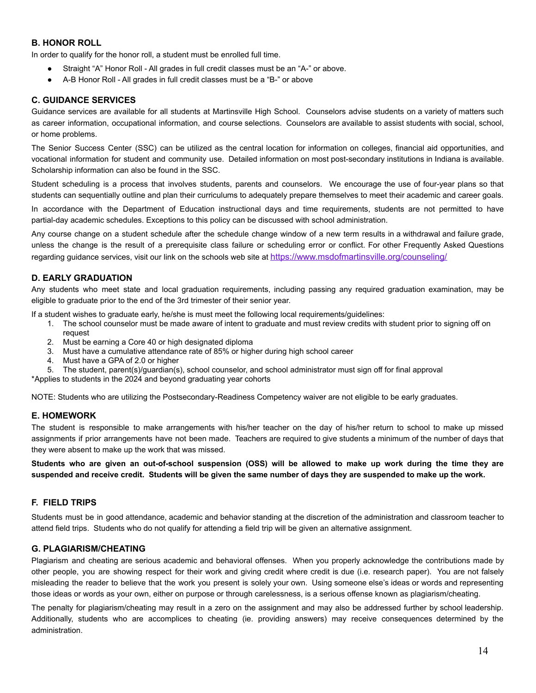## <span id="page-13-0"></span>**B. HONOR ROLL**

In order to qualify for the honor roll, a student must be enrolled full time.

- Straight "A" Honor Roll All grades in full credit classes must be an "A-" or above.
- A-B Honor Roll All grades in full credit classes must be a "B-" or above

#### <span id="page-13-1"></span>**C. GUIDANCE SERVICES**

Guidance services are available for all students at Martinsville High School. Counselors advise students on a variety of matters such as career information, occupational information, and course selections. Counselors are available to assist students with social, school, or home problems.

The Senior Success Center (SSC) can be utilized as the central location for information on colleges, financial aid opportunities, and vocational information for student and community use. Detailed information on most post-secondary institutions in Indiana is available. Scholarship information can also be found in the SSC.

Student scheduling is a process that involves students, parents and counselors. We encourage the use of four-year plans so that students can sequentially outline and plan their curriculums to adequately prepare themselves to meet their academic and career goals.

In accordance with the Department of Education instructional days and time requirements, students are not permitted to have partial-day academic schedules. Exceptions to this policy can be discussed with school administration.

Any course change on a student schedule after the schedule change window of a new term results in a withdrawal and failure grade, unless the change is the result of a prerequisite class failure or scheduling error or conflict. For other Frequently Asked Questions regarding guidance services, visit our link on the schools web site at <https://www.msdofmartinsville.org/counseling/>

#### **D. EARLY GRADUATION**

Any students who meet state and local graduation requirements, including passing any required graduation examination, may be eligible to graduate prior to the end of the 3rd trimester of their senior year.

If a student wishes to graduate early, he/she is must meet the following local requirements/guidelines:

- 1. The school counselor must be made aware of intent to graduate and must review credits with student prior to signing off on request
- 2. Must be earning a Core 40 or high designated diploma
- 3. Must have a cumulative attendance rate of 85% or higher during high school career
- 4. Must have a GPA of 2.0 or higher
- 5. The student, parent(s)/guardian(s), school counselor, and school administrator must sign off for final approval

\*Applies to students in the 2024 and beyond graduating year cohorts

<span id="page-13-2"></span>NOTE: Students who are utilizing the Postsecondary-Readiness Competency waiver are not eligible to be early graduates.

#### **E. HOMEWORK**

The student is responsible to make arrangements with his/her teacher on the day of his/her return to school to make up missed assignments if prior arrangements have not been made. Teachers are required to give students a minimum of the number of days that they were absent to make up the work that was missed.

Students who are given an out-of-school suspension (OSS) will be allowed to make up work during the time they are **suspended and receive credit. Students will be given the same number of days they are suspended to make up the work.**

## **F. FIELD TRIPS**

Students must be in good attendance, academic and behavior standing at the discretion of the administration and classroom teacher to attend field trips. Students who do not qualify for attending a field trip will be given an alternative assignment.

## <span id="page-13-3"></span>**G. PLAGIARISM/CHEATING**

Plagiarism and cheating are serious academic and behavioral offenses. When you properly acknowledge the contributions made by other people, you are showing respect for their work and giving credit where credit is due (i.e. research paper). You are not falsely misleading the reader to believe that the work you present is solely your own. Using someone else's ideas or words and representing those ideas or words as your own, either on purpose or through carelessness, is a serious offense known as plagiarism/cheating.

The penalty for plagiarism/cheating may result in a zero on the assignment and may also be addressed further by school leadership. Additionally, students who are accomplices to cheating (ie. providing answers) may receive consequences determined by the administration.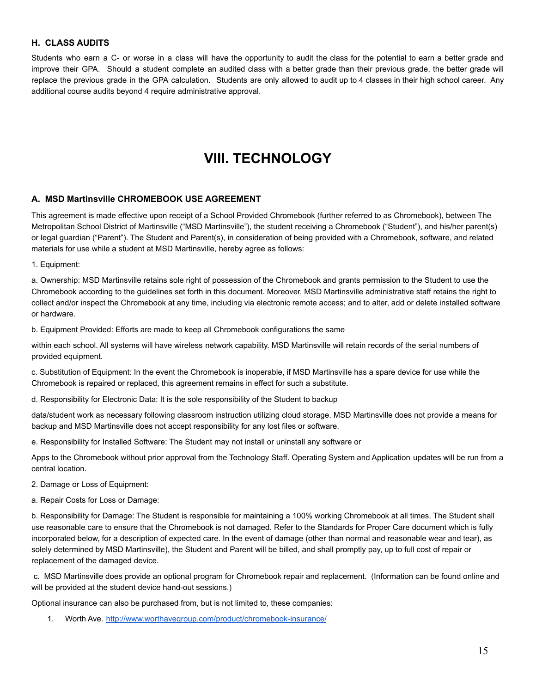## **H. CLASS AUDITS**

Students who earn a C- or worse in a class will have the opportunity to audit the class for the potential to earn a better grade and improve their GPA. Should a student complete an audited class with a better grade than their previous grade, the better grade will replace the previous grade in the GPA calculation. Students are only allowed to audit up to 4 classes in their high school career. Any additional course audits beyond 4 require administrative approval.

## **VIII. TECHNOLOGY**

#### <span id="page-14-1"></span><span id="page-14-0"></span>**A. MSD Martinsville CHROMEBOOK USE AGREEMENT**

This agreement is made effective upon receipt of a School Provided Chromebook (further referred to as Chromebook), between The Metropolitan School District of Martinsville ("MSD Martinsville"), the student receiving a Chromebook ("Student"), and his/her parent(s) or legal guardian ("Parent"). The Student and Parent(s), in consideration of being provided with a Chromebook, software, and related materials for use while a student at MSD Martinsville, hereby agree as follows:

1. Equipment:

a. Ownership: MSD Martinsville retains sole right of possession of the Chromebook and grants permission to the Student to use the Chromebook according to the guidelines set forth in this document. Moreover, MSD Martinsville administrative staff retains the right to collect and/or inspect the Chromebook at any time, including via electronic remote access; and to alter, add or delete installed software or hardware.

b. Equipment Provided: Efforts are made to keep all Chromebook configurations the same

within each school. All systems will have wireless network capability. MSD Martinsville will retain records of the serial numbers of provided equipment.

c. Substitution of Equipment: In the event the Chromebook is inoperable, if MSD Martinsville has a spare device for use while the Chromebook is repaired or replaced, this agreement remains in effect for such a substitute.

d. Responsibility for Electronic Data: It is the sole responsibility of the Student to backup

data/student work as necessary following classroom instruction utilizing cloud storage. MSD Martinsville does not provide a means for backup and MSD Martinsville does not accept responsibility for any lost files or software.

e. Responsibility for Installed Software: The Student may not install or uninstall any software or

Apps to the Chromebook without prior approval from the Technology Staff. Operating System and Application updates will be run from a central location.

2. Damage or Loss of Equipment:

a. Repair Costs for Loss or Damage:

b. Responsibility for Damage: The Student is responsible for maintaining a 100% working Chromebook at all times. The Student shall use reasonable care to ensure that the Chromebook is not damaged. Refer to the Standards for Proper Care document which is fully incorporated below, for a description of expected care. In the event of damage (other than normal and reasonable wear and tear), as solely determined by MSD Martinsville), the Student and Parent will be billed, and shall promptly pay, up to full cost of repair or replacement of the damaged device.

c. MSD Martinsville does provide an optional program for Chromebook repair and replacement. (Information can be found online and will be provided at the student device hand-out sessions.)

Optional insurance can also be purchased from, but is not limited to, these companies:

1. Worth Ave. <http://www.worthavegroup.com/product/chromebook-insurance/>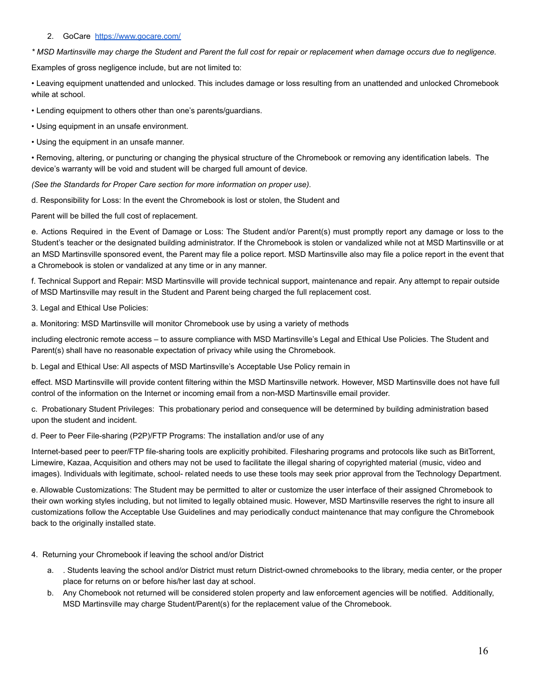#### 2. GoCare <https://www.gocare.com/>

*\* MSD Martinsville may charge the Student and Parent the full cost for repair or replacement when damage occurs due to negligence.*

Examples of gross negligence include, but are not limited to:

• Leaving equipment unattended and unlocked. This includes damage or loss resulting from an unattended and unlocked Chromebook while at school.

• Lending equipment to others other than one's parents/guardians.

• Using equipment in an unsafe environment.

• Using the equipment in an unsafe manner.

• Removing, altering, or puncturing or changing the physical structure of the Chromebook or removing any identification labels. The device's warranty will be void and student will be charged full amount of device.

*(See the Standards for Proper Care section for more information on proper use).*

d. Responsibility for Loss: In the event the Chromebook is lost or stolen, the Student and

Parent will be billed the full cost of replacement.

e. Actions Required in the Event of Damage or Loss: The Student and/or Parent(s) must promptly report any damage or loss to the Student's teacher or the designated building administrator. If the Chromebook is stolen or vandalized while not at MSD Martinsville or at an MSD Martinsville sponsored event, the Parent may file a police report. MSD Martinsville also may file a police report in the event that a Chromebook is stolen or vandalized at any time or in any manner.

f. Technical Support and Repair: MSD Martinsville will provide technical support, maintenance and repair. Any attempt to repair outside of MSD Martinsville may result in the Student and Parent being charged the full replacement cost.

3. Legal and Ethical Use Policies:

a. Monitoring: MSD Martinsville will monitor Chromebook use by using a variety of methods

including electronic remote access – to assure compliance with MSD Martinsville's Legal and Ethical Use Policies. The Student and Parent(s) shall have no reasonable expectation of privacy while using the Chromebook.

b. Legal and Ethical Use: All aspects of MSD Martinsville's Acceptable Use Policy remain in

effect. MSD Martinsville will provide content filtering within the MSD Martinsville network. However, MSD Martinsville does not have full control of the information on the Internet or incoming email from a non-MSD Martinsville email provider.

c. Probationary Student Privileges: This probationary period and consequence will be determined by building administration based upon the student and incident.

d. Peer to Peer File-sharing (P2P)/FTP Programs: The installation and/or use of any

Internet-based peer to peer/FTP file-sharing tools are explicitly prohibited. Filesharing programs and protocols like such as BitTorrent, Limewire, Kazaa, Acquisition and others may not be used to facilitate the illegal sharing of copyrighted material (music, video and images). Individuals with legitimate, school- related needs to use these tools may seek prior approval from the Technology Department.

e. Allowable Customizations: The Student may be permitted to alter or customize the user interface of their assigned Chromebook to their own working styles including, but not limited to legally obtained music. However, MSD Martinsville reserves the right to insure all customizations follow the Acceptable Use Guidelines and may periodically conduct maintenance that may configure the Chromebook back to the originally installed state.

#### 4. Returning your Chromebook if leaving the school and/or District

- a. . Students leaving the school and/or District must return District-owned chromebooks to the library, media center, or the proper place for returns on or before his/her last day at school.
- b. Any Chomebook not returned will be considered stolen property and law enforcement agencies will be notified. Additionally, MSD Martinsville may charge Student/Parent(s) for the replacement value of the Chromebook.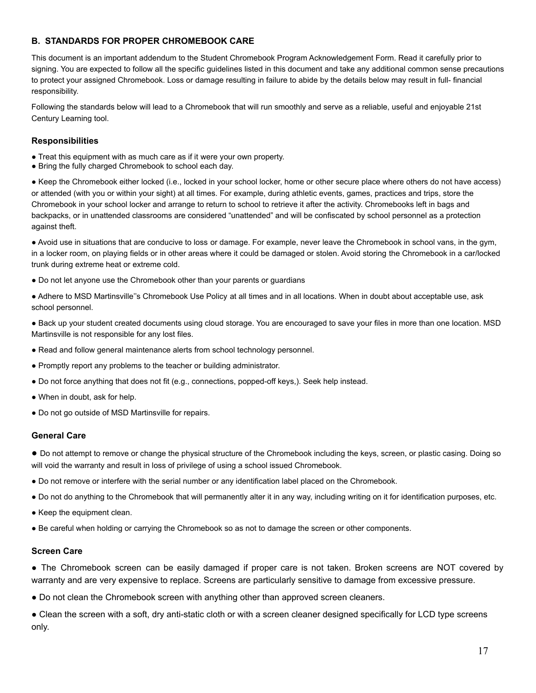## <span id="page-16-0"></span>**B. STANDARDS FOR PROPER CHROMEBOOK CARE**

This document is an important addendum to the Student Chromebook Program Acknowledgement Form. Read it carefully prior to signing. You are expected to follow all the specific guidelines listed in this document and take any additional common sense precautions to protect your assigned Chromebook. Loss or damage resulting in failure to abide by the details below may result in full- financial responsibility.

Following the standards below will lead to a Chromebook that will run smoothly and serve as a reliable, useful and enjoyable 21st Century Learning tool.

#### <span id="page-16-1"></span>**Responsibilities**

- Treat this equipment with as much care as if it were your own property.
- Bring the fully charged Chromebook to school each day.

● Keep the Chromebook either locked (i.e., locked in your school locker, home or other secure place where others do not have access) or attended (with you or within your sight) at all times. For example, during athletic events, games, practices and trips, store the Chromebook in your school locker and arrange to return to school to retrieve it after the activity. Chromebooks left in bags and backpacks, or in unattended classrooms are considered "unattended" and will be confiscated by school personnel as a protection against theft.

● Avoid use in situations that are conducive to loss or damage. For example, never leave the Chromebook in school vans, in the gym, in a locker room, on playing fields or in other areas where it could be damaged or stolen. Avoid storing the Chromebook in a car/locked trunk during extreme heat or extreme cold.

• Do not let anyone use the Chromebook other than your parents or guardians

● Adhere to MSD Martinsville''s Chromebook Use Policy at all times and in all locations. When in doubt about acceptable use, ask school personnel.

● Back up your student created documents using cloud storage. You are encouraged to save your files in more than one location. MSD Martinsville is not responsible for any lost files.

- Read and follow general maintenance alerts from school technology personnel.
- Promptly report any problems to the teacher or building administrator.
- Do not force anything that does not fit (e.g., connections, popped-off keys,). Seek help instead.
- When in doubt, ask for help.
- Do not go outside of MSD Martinsville for repairs.

#### <span id="page-16-2"></span>**General Care**

● Do not attempt to remove or change the physical structure of the Chromebook including the keys, screen, or plastic casing. Doing so will void the warranty and result in loss of privilege of using a school issued Chromebook.

- Do not remove or interfere with the serial number or any identification label placed on the Chromebook.
- Do not do anything to the Chromebook that will permanently alter it in any way, including writing on it for identification purposes, etc.
- Keep the equipment clean.
- Be careful when holding or carrying the Chromebook so as not to damage the screen or other components.

#### <span id="page-16-3"></span>**Screen Care**

• The Chromebook screen can be easily damaged if proper care is not taken. Broken screens are NOT covered by warranty and are very expensive to replace. Screens are particularly sensitive to damage from excessive pressure.

• Do not clean the Chromebook screen with anything other than approved screen cleaners.

• Clean the screen with a soft, dry anti-static cloth or with a screen cleaner designed specifically for LCD type screens only.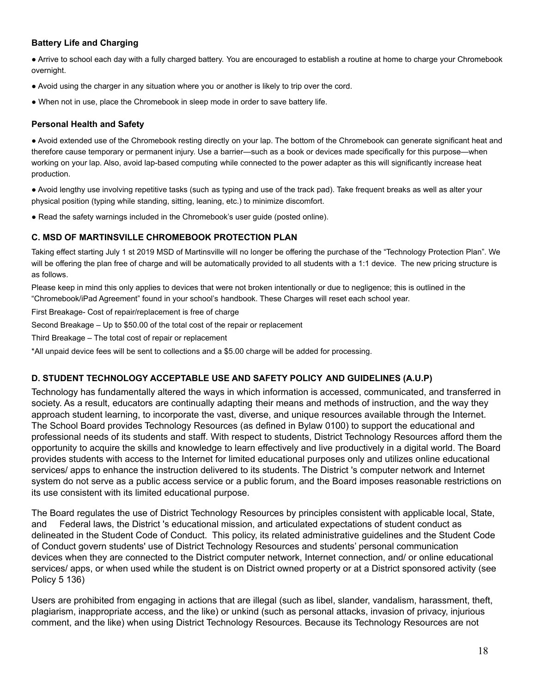## <span id="page-17-0"></span>**Battery Life and Charging**

● Arrive to school each day with a fully charged battery. You are encouraged to establish a routine at home to charge your Chromebook overnight.

- Avoid using the charger in any situation where you or another is likely to trip over the cord.
- When not in use, place the Chromebook in sleep mode in order to save battery life.

#### <span id="page-17-1"></span>**Personal Health and Safety**

● Avoid extended use of the Chromebook resting directly on your lap. The bottom of the Chromebook can generate significant heat and therefore cause temporary or permanent injury. Use a barrier—such as a book or devices made specifically for this purpose—when working on your lap. Also, avoid lap-based computing while connected to the power adapter as this will significantly increase heat production.

● Avoid lengthy use involving repetitive tasks (such as typing and use of the track pad). Take frequent breaks as well as alter your physical position (typing while standing, sitting, leaning, etc.) to minimize discomfort.

● Read the safety warnings included in the Chromebook's user guide (posted online).

## **C. MSD OF MARTINSVILLE CHROMEBOOK PROTECTION PLAN**

Taking effect starting July 1 st 2019 MSD of Martinsville will no longer be offering the purchase of the "Technology Protection Plan". We will be offering the plan free of charge and will be automatically provided to all students with a 1:1 device. The new pricing structure is as follows.

Please keep in mind this only applies to devices that were not broken intentionally or due to negligence; this is outlined in the "Chromebook/iPad Agreement" found in your school's handbook. These Charges will reset each school year.

First Breakage- Cost of repair/replacement is free of charge

Second Breakage – Up to \$50.00 of the total cost of the repair or replacement

Third Breakage – The total cost of repair or replacement

\*All unpaid device fees will be sent to collections and a \$5.00 charge will be added for processing.

## <span id="page-17-2"></span>**D. STUDENT TECHNOLOGY ACCEPTABLE USE AND SAFETY POLICY AND GUIDELINES (A.U.P)**

Technology has fundamentally altered the ways in which information is accessed, communicated, and transferred in society. As a result, educators are continually adapting their means and methods of instruction, and the way they approach student learning, to incorporate the vast, diverse, and unique resources available through the Internet. The School Board provides Technology Resources (as defined in Bylaw 0100) to support the educational and professional needs of its students and staff. With respect to students, District Technology Resources afford them the opportunity to acquire the skills and knowledge to learn effectively and live productively in a digital world. The Board provides students with access to the Internet for limited educational purposes only and utilizes online educational services/ apps to enhance the instruction delivered to its students. The District 's computer network and Internet system do not serve as a public access service or a public forum, and the Board imposes reasonable restrictions on its use consistent with its limited educational purpose.

The Board regulates the use of District Technology Resources by principles consistent with applicable local, State, and Federal laws, the District 's educational mission, and articulated expectations of student conduct as delineated in the Student Code of Conduct. This policy, its related administrative guidelines and the Student Code of Conduct govern students' use of District Technology Resources and students' personal communication devices when they are connected to the District computer network, Internet connection, and/ or online educational services/ apps, or when used while the student is on District owned property or at a District sponsored activity (see Policy 5 136)

Users are prohibited from engaging in actions that are illegal (such as libel, slander, vandalism, harassment, theft, plagiarism, inappropriate access, and the like) or unkind (such as personal attacks, invasion of privacy, injurious comment, and the like) when using District Technology Resources. Because its Technology Resources are not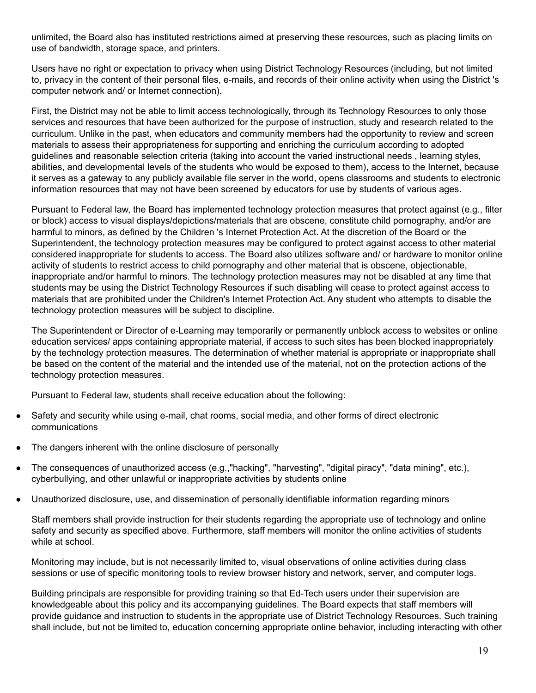unlimited, the Board also has instituted restrictions aimed at preserving these resources, such as placing limits on use of bandwidth, storage space, and printers.

Users have no right or expectation to privacy when using District Technology Resources (including, but not limited to, privacy in the content of their personal files, e-mails, and records of their online activity when using the District 's computer network and/ or Internet connection).

First, the District may not be able to limit access technologically, through its Technology Resources to only those services and resources that have been authorized for the purpose of instruction, study and research related to the curriculum. Unlike in the past, when educators and community members had the opportunity to review and screen materials to assess their appropriateness for supporting and enriching the curriculum according to adopted guidelines and reasonable selection criteria (taking into account the varied instructional needs , learning styles, abilities, and developmental levels of the students who would be exposed to them), access to the Internet, because it serves as a gateway to any publicly available file server in the world, opens classrooms and students to electronic information resources that may not have been screened by educators for use by students of various ages.

Pursuant to Federal law, the Board has implemented technology protection measures that protect against (e.g., filter or block) access to visual displays/depictions/materials that are obscene, constitute child pornography, and/or are harmful to minors, as defined by the Children 's Internet Protection Act. At the discretion of the Board or the Superintendent, the technology protection measures may be configured to protect against access to other material considered inappropriate for students to access. The Board also utilizes software and/ or hardware to monitor online activity of students to restrict access to child pornography and other material that is obscene, objectionable, inappropriate and/or harmful to minors. The technology protection measures may not be disabled at any time that students may be using the District Technology Resources if such disabling will cease to protect against access to materials that are prohibited under the Children's Internet Protection Act. Any student who attempts to disable the technology protection measures will be subject to discipline.

The Superintendent or Director of e-Learning may temporarily or permanently unblock access to websites or online education services/ apps containing appropriate material, if access to such sites has been blocked inappropriately by the technology protection measures. The determination of whether material is appropriate or inappropriate shall be based on the content of the material and the intended use of the material, not on the protection actions of the technology protection measures.

Pursuant to Federal law, students shall receive education about the following:

- Safety and security while using e-mail, chat rooms, social media, and other forms of direct electronic communications
- The dangers inherent with the online disclosure of personally
- The consequences of unauthorized access (e.g.,"hacking", "harvesting", "digital piracy", "data mining", etc.), cyberbullying, and other unlawful or inappropriate activities by students online
- Unauthorized disclosure, use, and dissemination of personally identifiable information regarding minors

Staff members shall provide instruction for their students regarding the appropriate use of technology and online safety and security as specified above. Furthermore, staff members will monitor the online activities of students while at school

Monitoring may include, but is not necessarily limited to, visual observations of online activities during class sessions or use of specific monitoring tools to review browser history and network, server, and computer logs.

Building principals are responsible for providing training so that Ed-Tech users under their supervision are knowledgeable about this policy and its accompanying guidelines. The Board expects that staff members will provide guidance and instruction to students in the appropriate use of District Technology Resources. Such training shall include, but not be limited to, education concerning appropriate online behavior, including interacting with other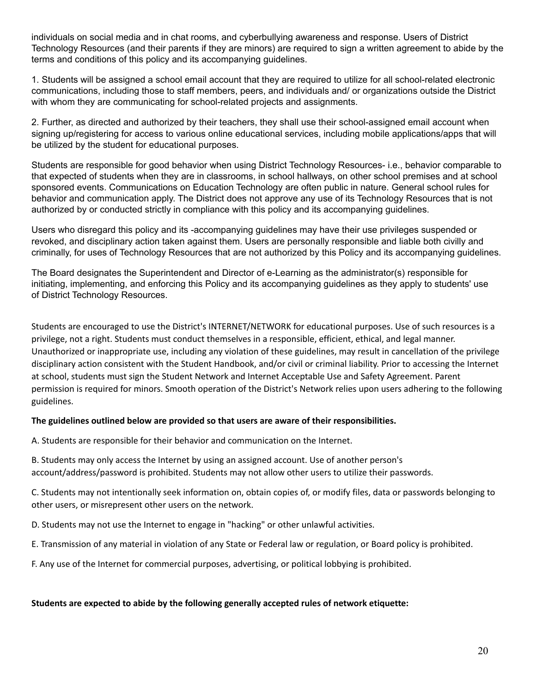individuals on social media and in chat rooms, and cyberbullying awareness and response. Users of District Technology Resources (and their parents if they are minors) are required to sign a written agreement to abide by the terms and conditions of this policy and its accompanying guidelines.

1. Students will be assigned a school email account that they are required to utilize for all school-related electronic communications, including those to staff members, peers, and individuals and/ or organizations outside the District with whom they are communicating for school-related projects and assignments.

2. Further, as directed and authorized by their teachers, they shall use their school-assigned email account when signing up/registering for access to various online educational services, including mobile applications/apps that will be utilized by the student for educational purposes.

Students are responsible for good behavior when using District Technology Resources- i.e., behavior comparable to that expected of students when they are in classrooms, in school hallways, on other school premises and at school sponsored events. Communications on Education Technology are often public in nature. General school rules for behavior and communication apply. The District does not approve any use of its Technology Resources that is not authorized by or conducted strictly in compliance with this policy and its accompanying guidelines.

Users who disregard this policy and its -accompanying guidelines may have their use privileges suspended or revoked, and disciplinary action taken against them. Users are personally responsible and liable both civilly and criminally, for uses of Technology Resources that are not authorized by this Policy and its accompanying guidelines.

The Board designates the Superintendent and Director of e-Learning as the administrator(s) responsible for initiating, implementing, and enforcing this Policy and its accompanying guidelines as they apply to students' use of District Technology Resources.

Students are encouraged to use the District's INTERNET/NETWORK for educational purposes. Use of such resources is a privilege, not a right. Students must conduct themselves in a responsible, efficient, ethical, and legal manner. Unauthorized or inappropriate use, including any violation of these guidelines, may result in cancellation of the privilege disciplinary action consistent with the Student Handbook, and/or civil or criminal liability. Prior to accessing the Internet at school, students must sign the Student Network and Internet Acceptable Use and Safety Agreement. Parent permission is required for minors. Smooth operation of the District's Network relies upon users adhering to the following guidelines.

## **The guidelines outlined below are provided so that users are aware of their responsibilities.**

A. Students are responsible for their behavior and communication on the Internet.

B. Students may only access the Internet by using an assigned account. Use of another person's account/address/password is prohibited. Students may not allow other users to utilize their passwords.

C. Students may not intentionally seek information on, obtain copies of, or modify files, data or passwords belonging to other users, or misrepresent other users on the network.

D. Students may not use the Internet to engage in "hacking" or other unlawful activities.

E. Transmission of any material in violation of any State or Federal law or regulation, or Board policy is prohibited.

F. Any use of the Internet for commercial purposes, advertising, or political lobbying is prohibited.

## **Students are expected to abide by the following generally accepted rules of network etiquette:**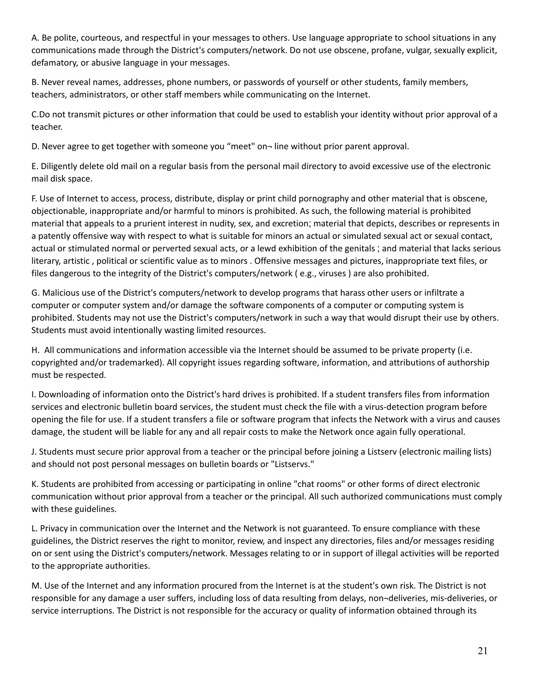A. Be polite, courteous, and respectful in your messages to others. Use language appropriate to school situations in any communications made through the District's computers/network. Do not use obscene, profane, vulgar, sexually explicit, defamatory, or abusive language in your messages.

B. Never reveal names, addresses, phone numbers, or passwords of yourself or other students, family members, teachers, administrators, or other staff members while communicating on the Internet.

C.Do not transmit pictures or other information that could be used to establish your identity without prior approval of a teacher.

D. Never agree to get together with someone you "meet" on− line without prior parent approval.

E. Diligently delete old mail on a regular basis from the personal mail directory to avoid excessive use of the electronic mail disk space.

F. Use of Internet to access, process, distribute, display or print child pornography and other material that is obscene, objectionable, inappropriate and/or harmful to minors is prohibited. As such, the following material is prohibited material that appeals to a prurient interest in nudity, sex, and excretion; material that depicts, describes or represents in a patently offensive way with respect to what is suitable for minors an actual or simulated sexual act or sexual contact, actual or stimulated normal or perverted sexual acts, or a lewd exhibition of the genitals ; and material that lacks serious literary, artistic , political or scientific value as to minors . Offensive messages and pictures, inappropriate text files, or files dangerous to the integrity of the District's computers/network ( e.g., viruses ) are also prohibited.

G. Malicious use of the District's computers/network to develop programs that harass other users or infiltrate a computer or computer system and/or damage the software components of a computer or computing system is prohibited. Students may not use the District's computers/network in such a way that would disrupt their use by others. Students must avoid intentionally wasting limited resources.

H. All communications and information accessible via the Internet should be assumed to be private property (i.e. copyrighted and/or trademarked). All copyright issues regarding software, information, and attributions of authorship must be respected.

I. Downloading of information onto the District's hard drives is prohibited. If a student transfers files from information services and electronic bulletin board services, the student must check the file with a virus-detection program before opening the file for use. If a student transfers a file or software program that infects the Network with a virus and causes damage, the student will be liable for any and all repair costs to make the Network once again fully operational.

J. Students must secure prior approval from a teacher or the principal before joining a Listserv (electronic mailing lists) and should not post personal messages on bulletin boards or "Listservs."

K. Students are prohibited from accessing or participating in online "chat rooms" or other forms of direct electronic communication without prior approval from a teacher or the principal. All such authorized communications must comply with these guidelines.

L. Privacy in communication over the Internet and the Network is not guaranteed. To ensure compliance with these guidelines, the District reserves the right to monitor, review, and inspect any directories, files and/or messages residing on or sent using the District's computers/network. Messages relating to or in support of illegal activities will be reported to the appropriate authorities.

M. Use of the Internet and any information procured from the Internet is at the student's own risk. The District is not responsible for any damage a user suffers, including loss of data resulting from delays, non¬deliveries, mis-deliveries, or service interruptions. The District is not responsible for the accuracy or quality of information obtained through its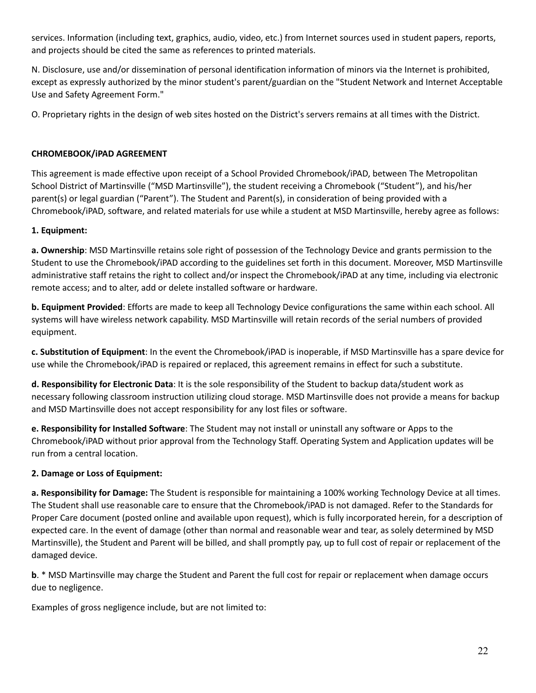services. Information (including text, graphics, audio, video, etc.) from Internet sources used in student papers, reports, and projects should be cited the same as references to printed materials.

N. Disclosure, use and/or dissemination of personal identification information of minors via the Internet is prohibited, except as expressly authorized by the minor student's parent/guardian on the "Student Network and Internet Acceptable Use and Safety Agreement Form."

O. Proprietary rights in the design of web sites hosted on the District's servers remains at all times with the District.

## **CHROMEBOOK/iPAD AGREEMENT**

This agreement is made effective upon receipt of a School Provided Chromebook/iPAD, between The Metropolitan School District of Martinsville ("MSD Martinsville"), the student receiving a Chromebook ("Student"), and his/her parent(s) or legal guardian ("Parent"). The Student and Parent(s), in consideration of being provided with a Chromebook/iPAD, software, and related materials for use while a student at MSD Martinsville, hereby agree as follows:

## **1. Equipment:**

**a. Ownership**: MSD Martinsville retains sole right of possession of the Technology Device and grants permission to the Student to use the Chromebook/iPAD according to the guidelines set forth in this document. Moreover, MSD Martinsville administrative staff retains the right to collect and/or inspect the Chromebook/iPAD at any time, including via electronic remote access; and to alter, add or delete installed software or hardware.

**b. Equipment Provided**: Efforts are made to keep all Technology Device configurations the same within each school. All systems will have wireless network capability. MSD Martinsville will retain records of the serial numbers of provided equipment.

**c. Substitution of Equipment**: In the event the Chromebook/iPAD is inoperable, if MSD Martinsville has a spare device for use while the Chromebook/iPAD is repaired or replaced, this agreement remains in effect for such a substitute.

**d. Responsibility for Electronic Data**: It is the sole responsibility of the Student to backup data/student work as necessary following classroom instruction utilizing cloud storage. MSD Martinsville does not provide a means for backup and MSD Martinsville does not accept responsibility for any lost files or software.

**e. Responsibility for Installed Software**: The Student may not install or uninstall any software or Apps to the Chromebook/iPAD without prior approval from the Technology Staff. Operating System and Application updates will be run from a central location.

## **2. Damage or Loss of Equipment:**

**a. Responsibility for Damage:** The Student is responsible for maintaining a 100% working Technology Device at all times. The Student shall use reasonable care to ensure that the Chromebook/iPAD is not damaged. Refer to the Standards for Proper Care document (posted online and available upon request), which is fully incorporated herein, for a description of expected care. In the event of damage (other than normal and reasonable wear and tear, as solely determined by MSD Martinsville), the Student and Parent will be billed, and shall promptly pay, up to full cost of repair or replacement of the damaged device.

**b**. \* MSD Martinsville may charge the Student and Parent the full cost for repair or replacement when damage occurs due to negligence.

Examples of gross negligence include, but are not limited to: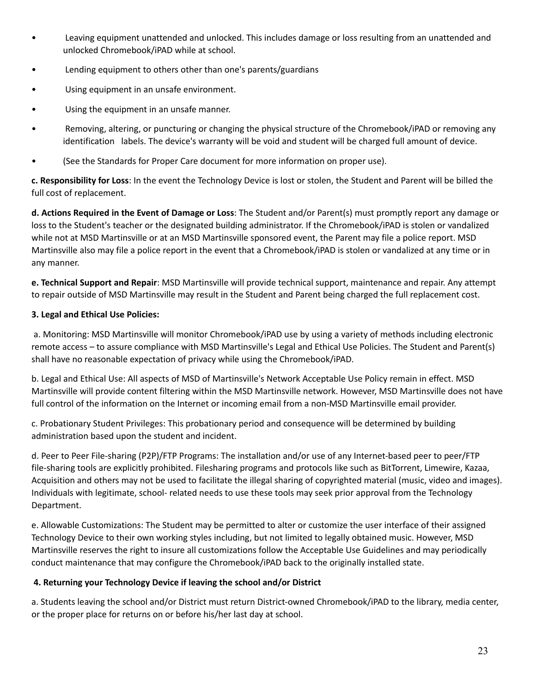- Leaving equipment unattended and unlocked. This includes damage or loss resulting from an unattended and unlocked Chromebook/iPAD while at school.
- Lending equipment to others other than one's parents/guardians
- Using equipment in an unsafe environment.
- Using the equipment in an unsafe manner.
- Removing, altering, or puncturing or changing the physical structure of the Chromebook/iPAD or removing any identification labels. The device's warranty will be void and student will be charged full amount of device.
- (See the Standards for Proper Care document for more information on proper use).

**c. Responsibility for Loss**: In the event the Technology Device is lost or stolen, the Student and Parent will be billed the full cost of replacement.

**d. Actions Required in the Event of Damage or Loss**: The Student and/or Parent(s) must promptly report any damage or loss to the Student's teacher or the designated building administrator. If the Chromebook/iPAD is stolen or vandalized while not at MSD Martinsville or at an MSD Martinsville sponsored event, the Parent may file a police report. MSD Martinsville also may file a police report in the event that a Chromebook/iPAD is stolen or vandalized at any time or in any manner.

**e. Technical Support and Repair**: MSD Martinsville will provide technical support, maintenance and repair. Any attempt to repair outside of MSD Martinsville may result in the Student and Parent being charged the full replacement cost.

## **3. Legal and Ethical Use Policies:**

a. Monitoring: MSD Martinsville will monitor Chromebook/iPAD use by using a variety of methods including electronic remote access – to assure compliance with MSD Martinsville's Legal and Ethical Use Policies. The Student and Parent(s) shall have no reasonable expectation of privacy while using the Chromebook/iPAD.

b. Legal and Ethical Use: All aspects of MSD of Martinsville's Network Acceptable Use Policy remain in effect. MSD Martinsville will provide content filtering within the MSD Martinsville network. However, MSD Martinsville does not have full control of the information on the Internet or incoming email from a non-MSD Martinsville email provider.

c. Probationary Student Privileges: This probationary period and consequence will be determined by building administration based upon the student and incident.

d. Peer to Peer File-sharing (P2P)/FTP Programs: The installation and/or use of any Internet-based peer to peer/FTP file-sharing tools are explicitly prohibited. Filesharing programs and protocols like such as BitTorrent, Limewire, Kazaa, Acquisition and others may not be used to facilitate the illegal sharing of copyrighted material (music, video and images). Individuals with legitimate, school- related needs to use these tools may seek prior approval from the Technology Department.

e. Allowable Customizations: The Student may be permitted to alter or customize the user interface of their assigned Technology Device to their own working styles including, but not limited to legally obtained music. However, MSD Martinsville reserves the right to insure all customizations follow the Acceptable Use Guidelines and may periodically conduct maintenance that may configure the Chromebook/iPAD back to the originally installed state.

## **4. Returning your Technology Device if leaving the school and/or District**

a. Students leaving the school and/or District must return District-owned Chromebook/iPAD to the library, media center, or the proper place for returns on or before his/her last day at school.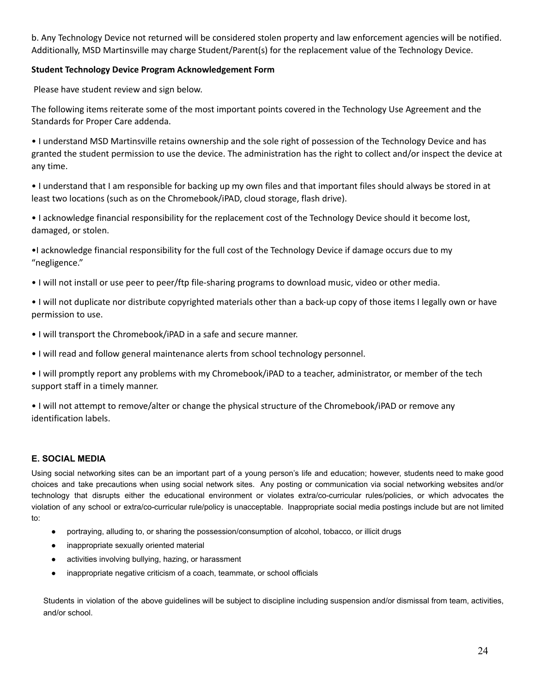b. Any Technology Device not returned will be considered stolen property and law enforcement agencies will be notified. Additionally, MSD Martinsville may charge Student/Parent(s) for the replacement value of the Technology Device.

## **Student Technology Device Program Acknowledgement Form**

Please have student review and sign below.

The following items reiterate some of the most important points covered in the Technology Use Agreement and the Standards for Proper Care addenda.

• I understand MSD Martinsville retains ownership and the sole right of possession of the Technology Device and has granted the student permission to use the device. The administration has the right to collect and/or inspect the device at any time.

• I understand that I am responsible for backing up my own files and that important files should always be stored in at least two locations (such as on the Chromebook/iPAD, cloud storage, flash drive).

• I acknowledge financial responsibility for the replacement cost of the Technology Device should it become lost, damaged, or stolen.

•I acknowledge financial responsibility for the full cost of the Technology Device if damage occurs due to my "negligence."

• I will not install or use peer to peer/ftp file-sharing programs to download music, video or other media.

• I will not duplicate nor distribute copyrighted materials other than a back-up copy of those items I legally own or have permission to use.

- I will transport the Chromebook/iPAD in a safe and secure manner.
- I will read and follow general maintenance alerts from school technology personnel.

• I will promptly report any problems with my Chromebook/iPAD to a teacher, administrator, or member of the tech support staff in a timely manner.

• I will not attempt to remove/alter or change the physical structure of the Chromebook/iPAD or remove any identification labels.

## <span id="page-23-0"></span>**E. SOCIAL MEDIA**

Using social networking sites can be an important part of a young person's life and education; however, students need to make good choices and take precautions when using social network sites. Any posting or communication via social networking websites and/or technology that disrupts either the educational environment or violates extra/co-curricular rules/policies, or which advocates the violation of any school or extra/co-curricular rule/policy is unacceptable. Inappropriate social media postings include but are not limited to:

- portraying, alluding to, or sharing the possession/consumption of alcohol, tobacco, or illicit drugs
- inappropriate sexually oriented material
- activities involving bullying, hazing, or harassment
- inappropriate negative criticism of a coach, teammate, or school officials

Students in violation of the above guidelines will be subject to discipline including suspension and/or dismissal from team, activities, and/or school.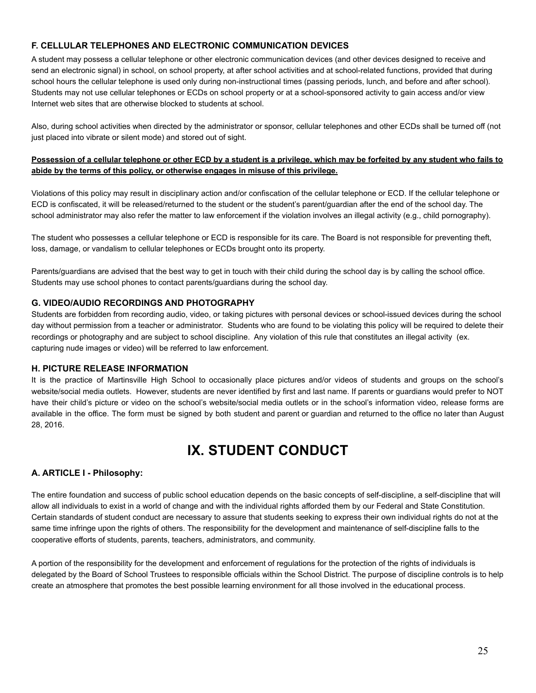## <span id="page-24-0"></span>**F. CELLULAR TELEPHONES AND ELECTRONIC COMMUNICATION DEVICES**

A student may possess a cellular telephone or other electronic communication devices (and other devices designed to receive and send an electronic signal) in school, on school property, at after school activities and at school-related functions, provided that during school hours the cellular telephone is used only during non-instructional times (passing periods, lunch, and before and after school). Students may not use cellular telephones or ECDs on school property or at a school-sponsored activity to gain access and/or view Internet web sites that are otherwise blocked to students at school.

Also, during school activities when directed by the administrator or sponsor, cellular telephones and other ECDs shall be turned off (not just placed into vibrate or silent mode) and stored out of sight.

#### **Possession of a cellular telephone or other ECD by a student is a privilege, which may be forfeited by any student who fails to abide by the terms of this policy, or otherwise engages in misuse of this privilege.**

Violations of this policy may result in disciplinary action and/or confiscation of the cellular telephone or ECD. If the cellular telephone or ECD is confiscated, it will be released/returned to the student or the student's parent/guardian after the end of the school day. The school administrator may also refer the matter to law enforcement if the violation involves an illegal activity (e.g., child pornography).

The student who possesses a cellular telephone or ECD is responsible for its care. The Board is not responsible for preventing theft, loss, damage, or vandalism to cellular telephones or ECDs brought onto its property.

Parents/guardians are advised that the best way to get in touch with their child during the school day is by calling the school office. Students may use school phones to contact parents/guardians during the school day.

#### <span id="page-24-1"></span>**G. VIDEO/AUDIO RECORDINGS AND PHOTOGRAPHY**

Students are forbidden from recording audio, video, or taking pictures with personal devices or school-issued devices during the school day without permission from a teacher or administrator. Students who are found to be violating this policy will be required to delete their recordings or photography and are subject to school discipline. Any violation of this rule that constitutes an illegal activity (ex. capturing nude images or video) will be referred to law enforcement.

#### <span id="page-24-2"></span>**H. PICTURE RELEASE INFORMATION**

It is the practice of Martinsville High School to occasionally place pictures and/or videos of students and groups on the school's website/social media outlets. However, students are never identified by first and last name. If parents or guardians would prefer to NOT have their child's picture or video on the school's website/social media outlets or in the school's information video, release forms are available in the office. The form must be signed by both student and parent or guardian and returned to the office no later than August 28, 2016.

## **IX. STUDENT CONDUCT**

## <span id="page-24-4"></span><span id="page-24-3"></span>**A. ARTICLE I - Philosophy:**

The entire foundation and success of public school education depends on the basic concepts of self-discipline, a self-discipline that will allow all individuals to exist in a world of change and with the individual rights afforded them by our Federal and State Constitution. Certain standards of student conduct are necessary to assure that students seeking to express their own individual rights do not at the same time infringe upon the rights of others. The responsibility for the development and maintenance of self-discipline falls to the cooperative efforts of students, parents, teachers, administrators, and community.

A portion of the responsibility for the development and enforcement of regulations for the protection of the rights of individuals is delegated by the Board of School Trustees to responsible officials within the School District. The purpose of discipline controls is to help create an atmosphere that promotes the best possible learning environment for all those involved in the educational process.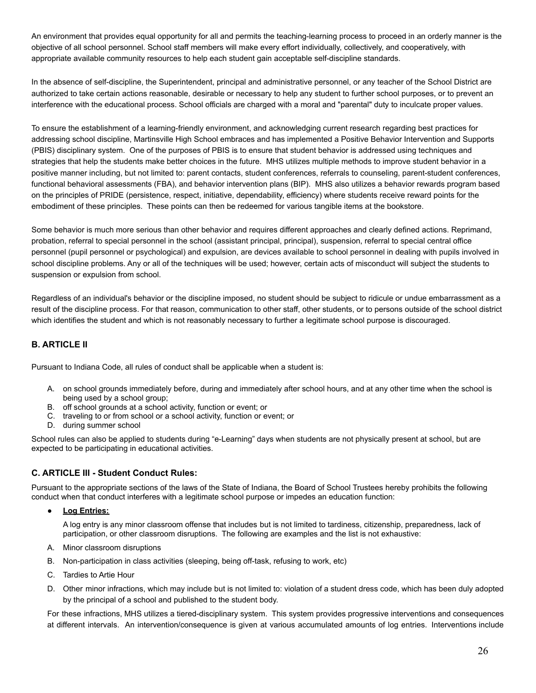An environment that provides equal opportunity for all and permits the teaching-learning process to proceed in an orderly manner is the objective of all school personnel. School staff members will make every effort individually, collectively, and cooperatively, with appropriate available community resources to help each student gain acceptable self-discipline standards.

In the absence of self-discipline, the Superintendent, principal and administrative personnel, or any teacher of the School District are authorized to take certain actions reasonable, desirable or necessary to help any student to further school purposes, or to prevent an interference with the educational process. School officials are charged with a moral and "parental" duty to inculcate proper values.

To ensure the establishment of a learning-friendly environment, and acknowledging current research regarding best practices for addressing school discipline, Martinsville High School embraces and has implemented a Positive Behavior Intervention and Supports (PBIS) disciplinary system. One of the purposes of PBIS is to ensure that student behavior is addressed using techniques and strategies that help the students make better choices in the future. MHS utilizes multiple methods to improve student behavior in a positive manner including, but not limited to: parent contacts, student conferences, referrals to counseling, parent-student conferences, functional behavioral assessments (FBA), and behavior intervention plans (BIP). MHS also utilizes a behavior rewards program based on the principles of PRIDE (persistence, respect, initiative, dependability, efficiency) where students receive reward points for the embodiment of these principles. These points can then be redeemed for various tangible items at the bookstore.

Some behavior is much more serious than other behavior and requires different approaches and clearly defined actions. Reprimand, probation, referral to special personnel in the school (assistant principal, principal), suspension, referral to special central office personnel (pupil personnel or psychological) and expulsion, are devices available to school personnel in dealing with pupils involved in school discipline problems. Any or all of the techniques will be used; however, certain acts of misconduct will subject the students to suspension or expulsion from school.

Regardless of an individual's behavior or the discipline imposed, no student should be subject to ridicule or undue embarrassment as a result of the discipline process. For that reason, communication to other staff, other students, or to persons outside of the school district which identifies the student and which is not reasonably necessary to further a legitimate school purpose is discouraged.

## <span id="page-25-0"></span>**B. ARTICLE II**

Pursuant to Indiana Code, all rules of conduct shall be applicable when a student is:

- A. on school grounds immediately before, during and immediately after school hours, and at any other time when the school is being used by a school group;
- B. off school grounds at a school activity, function or event; or
- C. traveling to or from school or a school activity, function or event; or
- D. during summer school

School rules can also be applied to students during "e-Learning" days when students are not physically present at school, but are expected to be participating in educational activities.

#### <span id="page-25-1"></span>**C. ARTICLE III - Student Conduct Rules:**

Pursuant to the appropriate sections of the laws of the State of Indiana, the Board of School Trustees hereby prohibits the following conduct when that conduct interferes with a legitimate school purpose or impedes an education function:

<span id="page-25-2"></span>**● Log Entries:**

A log entry is any minor classroom offense that includes but is not limited to tardiness, citizenship, preparedness, lack of participation, or other classroom disruptions. The following are examples and the list is not exhaustive:

- A. Minor classroom disruptions
- B. Non-participation in class activities (sleeping, being off-task, refusing to work, etc)
- C. Tardies to Artie Hour
- D. Other minor infractions, which may include but is not limited to: violation of a student dress code, which has been duly adopted by the principal of a school and published to the student body.

For these infractions, MHS utilizes a tiered-disciplinary system. This system provides progressive interventions and consequences at different intervals. An intervention/consequence is given at various accumulated amounts of log entries. Interventions include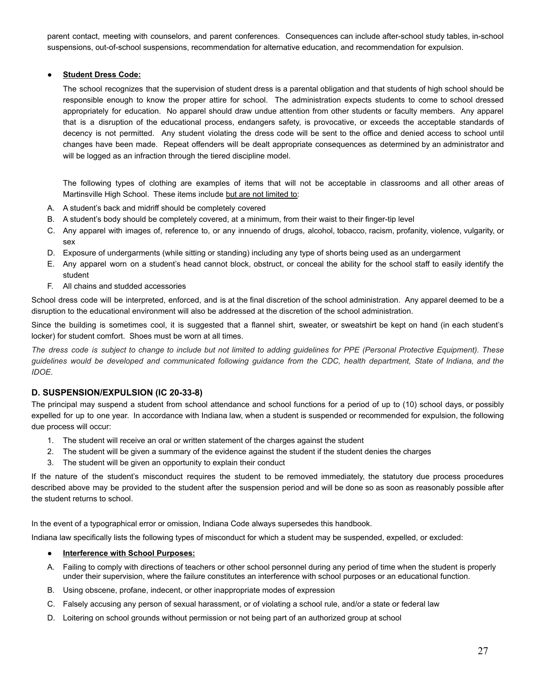parent contact, meeting with counselors, and parent conferences. Consequences can include after-school study tables, in-school suspensions, out-of-school suspensions, recommendation for alternative education, and recommendation for expulsion.

#### <span id="page-26-0"></span>**● Student Dress Code:**

The school recognizes that the supervision of student dress is a parental obligation and that students of high school should be responsible enough to know the proper attire for school. The administration expects students to come to school dressed appropriately for education. No apparel should draw undue attention from other students or faculty members. Any apparel that is a disruption of the educational process, endangers safety, is provocative, or exceeds the acceptable standards of decency is not permitted. Any student violating the dress code will be sent to the office and denied access to school until changes have been made. Repeat offenders will be dealt appropriate consequences as determined by an administrator and will be logged as an infraction through the tiered discipline model.

The following types of clothing are examples of items that will not be acceptable in classrooms and all other areas of Martinsville High School. These items include but are not limited to:

- A. A student's back and midriff should be completely covered
- B. A student's body should be completely covered, at a minimum, from their waist to their finger-tip level
- C. Any apparel with images of, reference to, or any innuendo of drugs, alcohol, tobacco, racism, profanity, violence, vulgarity, or sex
- D. Exposure of undergarments (while sitting or standing) including any type of shorts being used as an undergarment
- E. Any apparel worn on a student's head cannot block, obstruct, or conceal the ability for the school staff to easily identify the student
- F. All chains and studded accessories

School dress code will be interpreted, enforced, and is at the final discretion of the school administration. Any apparel deemed to be a disruption to the educational environment will also be addressed at the discretion of the school administration.

Since the building is sometimes cool, it is suggested that a flannel shirt, sweater, or sweatshirt be kept on hand (in each student's locker) for student comfort. Shoes must be worn at all times.

The dress code is subject to change to include but not limited to adding guidelines for PPE (Personal Protective Equipment). These guidelines would be developed and communicated following guidance from the CDC, health department, State of Indiana, and the *IDOE.*

## <span id="page-26-1"></span>**D. SUSPENSION/EXPULSION (IC 20-33-8)**

The principal may suspend a student from school attendance and school functions for a period of up to (10) school days, or possibly expelled for up to one year. In accordance with Indiana law, when a student is suspended or recommended for expulsion, the following due process will occur:

- 1. The student will receive an oral or written statement of the charges against the student
- 2. The student will be given a summary of the evidence against the student if the student denies the charges
- 3. The student will be given an opportunity to explain their conduct

If the nature of the student's misconduct requires the student to be removed immediately, the statutory due process procedures described above may be provided to the student after the suspension period and will be done so as soon as reasonably possible after the student returns to school.

In the event of a typographical error or omission, Indiana Code always supersedes this handbook.

<span id="page-26-2"></span>Indiana law specifically lists the following types of misconduct for which a student may be suspended, expelled, or excluded:

#### **● Interference with School Purposes:**

- A. Failing to comply with directions of teachers or other school personnel during any period of time when the student is properly under their supervision, where the failure constitutes an interference with school purposes or an educational function.
- B. Using obscene, profane, indecent, or other inappropriate modes of expression
- C. Falsely accusing any person of sexual harassment, or of violating a school rule, and/or a state or federal law
- D. Loitering on school grounds without permission or not being part of an authorized group at school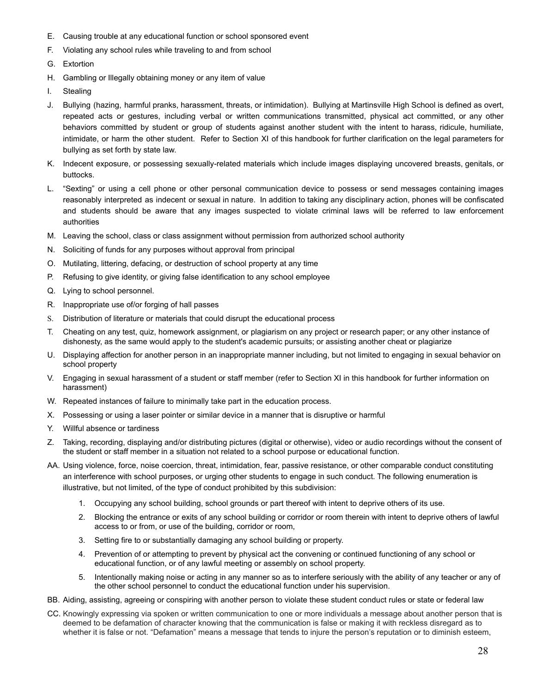- E. Causing trouble at any educational function or school sponsored event
- F. Violating any school rules while traveling to and from school
- G. Extortion
- H. Gambling or Illegally obtaining money or any item of value
- I. Stealing
- J. Bullying (hazing, harmful pranks, harassment, threats, or intimidation). Bullying at Martinsville High School is defined as overt, repeated acts or gestures, including verbal or written communications transmitted, physical act committed, or any other behaviors committed by student or group of students against another student with the intent to harass, ridicule, humiliate, intimidate, or harm the other student. Refer to Section XI of this handbook for further clarification on the legal parameters for bullying as set forth by state law.
- K. Indecent exposure, or possessing sexually-related materials which include images displaying uncovered breasts, genitals, or buttocks.
- L. "Sexting" or using a cell phone or other personal communication device to possess or send messages containing images reasonably interpreted as indecent or sexual in nature. In addition to taking any disciplinary action, phones will be confiscated and students should be aware that any images suspected to violate criminal laws will be referred to law enforcement authorities
- M. Leaving the school, class or class assignment without permission from authorized school authority
- N. Soliciting of funds for any purposes without approval from principal
- O. Mutilating, littering, defacing, or destruction of school property at any time
- P. Refusing to give identity, or giving false identification to any school employee
- Q. Lying to school personnel.
- R. Inappropriate use of/or forging of hall passes
- S. Distribution of literature or materials that could disrupt the educational process
- T. Cheating on any test, quiz, homework assignment, or plagiarism on any project or research paper; or any other instance of dishonesty, as the same would apply to the student's academic pursuits; or assisting another cheat or plagiarize
- U. Displaying affection for another person in an inappropriate manner including, but not limited to engaging in sexual behavior on school property
- V. Engaging in sexual harassment of a student or staff member (refer to Section XI in this handbook for further information on harassment)
- W. Repeated instances of failure to minimally take part in the education process.
- X. Possessing or using a laser pointer or similar device in a manner that is disruptive or harmful
- Y. Willful absence or tardiness
- Z. Taking, recording, displaying and/or distributing pictures (digital or otherwise), video or audio recordings without the consent of the student or staff member in a situation not related to a school purpose or educational function.
- AA. Using violence, force, noise coercion, threat, intimidation, fear, passive resistance, or other comparable conduct constituting an interference with school purposes, or urging other students to engage in such conduct. The following enumeration is illustrative, but not limited, of the type of conduct prohibited by this subdivision:
	- 1. Occupying any school building, school grounds or part thereof with intent to deprive others of its use.
	- 2. Blocking the entrance or exits of any school building or corridor or room therein with intent to deprive others of lawful access to or from, or use of the building, corridor or room,
	- 3. Setting fire to or substantially damaging any school building or property.
	- 4. Prevention of or attempting to prevent by physical act the convening or continued functioning of any school or educational function, or of any lawful meeting or assembly on school property.
	- 5. Intentionally making noise or acting in any manner so as to interfere seriously with the ability of any teacher or any of the other school personnel to conduct the educational function under his supervision.
- BB. Aiding, assisting, agreeing or conspiring with another person to violate these student conduct rules or state or federal law
- CC. Knowingly expressing via spoken or written communication to one or more individuals a message about another person that is deemed to be defamation of character knowing that the communication is false or making it with reckless disregard as to whether it is false or not. "Defamation" means a message that tends to injure the person's reputation or to diminish esteem,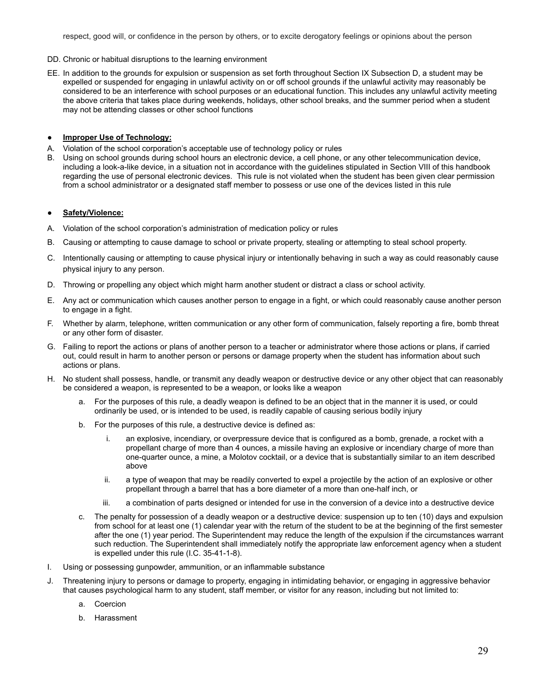respect, good will, or confidence in the person by others, or to excite derogatory feelings or opinions about the person

- DD. Chronic or habitual disruptions to the learning environment
- EE. In addition to the grounds for expulsion or suspension as set forth throughout Section IX Subsection D, a student may be expelled or suspended for engaging in unlawful activity on or off school grounds if the unlawful activity may reasonably be considered to be an interference with school purposes or an educational function. This includes any unlawful activity meeting the above criteria that takes place during weekends, holidays, other school breaks, and the summer period when a student may not be attending classes or other school functions

#### **● Improper Use of Technology:**

- A. Violation of the school corporation's acceptable use of technology policy or rules
- B. Using on school grounds during school hours an electronic device, a cell phone, or any other telecommunication device, including a look-a-like device, in a situation not in accordance with the guidelines stipulated in Section VIII of this handbook regarding the use of personal electronic devices. This rule is not violated when the student has been given clear permission from a school administrator or a designated staff member to possess or use one of the devices listed in this rule

#### **● Safety/Violence:**

- A. Violation of the school corporation's administration of medication policy or rules
- B. Causing or attempting to cause damage to school or private property, stealing or attempting to steal school property.
- C. Intentionally causing or attempting to cause physical injury or intentionally behaving in such a way as could reasonably cause physical injury to any person.
- D. Throwing or propelling any object which might harm another student or distract a class or school activity.
- E. Any act or communication which causes another person to engage in a fight, or which could reasonably cause another person to engage in a fight.
- F. Whether by alarm, telephone, written communication or any other form of communication, falsely reporting a fire, bomb threat or any other form of disaster.
- G. Failing to report the actions or plans of another person to a teacher or administrator where those actions or plans, if carried out, could result in harm to another person or persons or damage property when the student has information about such actions or plans.
- H. No student shall possess, handle, or transmit any deadly weapon or destructive device or any other object that can reasonably be considered a weapon, is represented to be a weapon, or looks like a weapon
	- a. For the purposes of this rule, a deadly weapon is defined to be an object that in the manner it is used, or could ordinarily be used, or is intended to be used, is readily capable of causing serious bodily injury
	- b. For the purposes of this rule, a destructive device is defined as:
		- i. an explosive, incendiary, or overpressure device that is configured as a bomb, grenade, a rocket with a propellant charge of more than 4 ounces, a missile having an explosive or incendiary charge of more than one-quarter ounce, a mine, a Molotov cocktail, or a device that is substantially similar to an item described above
		- ii. a type of weapon that may be readily converted to expel a projectile by the action of an explosive or other propellant through a barrel that has a bore diameter of a more than one-half inch, or
		- iii. a combination of parts designed or intended for use in the conversion of a device into a destructive device
	- c. The penalty for possession of a deadly weapon or a destructive device: suspension up to ten (10) days and expulsion from school for at least one (1) calendar year with the return of the student to be at the beginning of the first semester after the one (1) year period. The Superintendent may reduce the length of the expulsion if the circumstances warrant such reduction. The Superintendent shall immediately notify the appropriate law enforcement agency when a student is expelled under this rule (I.C. 35-41-1-8).
- I. Using or possessing gunpowder, ammunition, or an inflammable substance
- J. Threatening injury to persons or damage to property, engaging in intimidating behavior, or engaging in aggressive behavior that causes psychological harm to any student, staff member, or visitor for any reason, including but not limited to:
	- a. Coercion
	- b. Harassment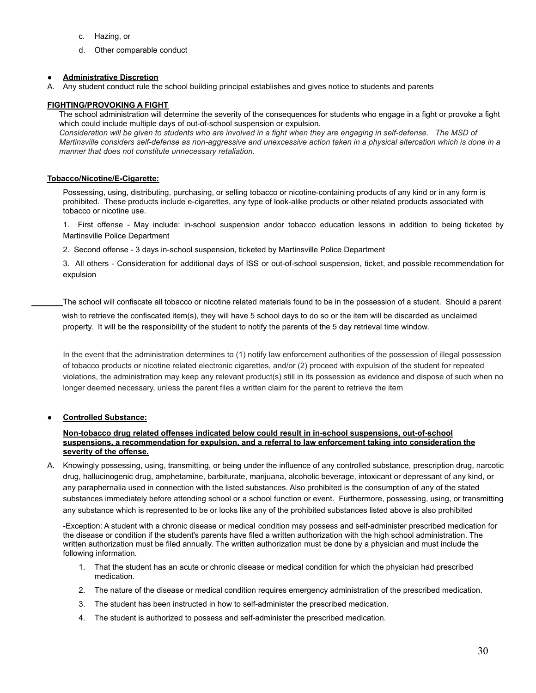- c. Hazing, or
- d. Other comparable conduct

#### **● Administrative Discretion**

A. Any student conduct rule the school building principal establishes and gives notice to students and parents

#### <span id="page-29-0"></span>**FIGHTING/PROVOKING A FIGHT**

The school administration will determine the severity of the consequences for students who engage in a fight or provoke a fight which could include multiple days of out-of-school suspension or expulsion.

*Consideration will be given to students who are involved in a fight when they are engaging in self-defense. The MSD of Martinsville considers self-defense as non-aggressive and unexcessive action taken in a physical altercation which is done in a manner that does not constitute unnecessary retaliation.*

#### <span id="page-29-1"></span>**Tobacco/Nicotine/E-Cigarette:**

Possessing, using, distributing, purchasing, or selling tobacco or nicotine-containing products of any kind or in any form is prohibited. These products include e-cigarettes, any type of look-alike products or other related products associated with tobacco or nicotine use.

1. First offense - May include: in-school suspension andor tobacco education lessons in addition to being ticketed by Martinsville Police Department

2. Second offense - 3 days in-school suspension, ticketed by Martinsville Police Department

3. All others - Consideration for additional days of ISS or out-of-school suspension, ticket, and possible recommendation for expulsion

The school will confiscate all tobacco or nicotine related materials found to be in the possession of a student. Should a parent

wish to retrieve the confiscated item(s), they will have 5 school days to do so or the item will be discarded as unclaimed property. It will be the responsibility of the student to notify the parents of the 5 day retrieval time window.

In the event that the administration determines to (1) notify law enforcement authorities of the possession of illegal possession of tobacco products or nicotine related electronic cigarettes, and/or (2) proceed with expulsion of the student for repeated violations, the administration may keep any relevant product(s) still in its possession as evidence and dispose of such when no longer deemed necessary, unless the parent files a written claim for the parent to retrieve the item

#### <span id="page-29-2"></span>**● Controlled Substance:**

#### **Non-tobacco drug related offenses indicated below could result in in-school suspensions, out-of-school suspensions, a recommendation for expulsion, and a referral to law enforcement taking into consideration the severity of the offense.**

A. Knowingly possessing, using, transmitting, or being under the influence of any controlled substance, prescription drug, narcotic drug, hallucinogenic drug, amphetamine, barbiturate, marijuana, alcoholic beverage, intoxicant or depressant of any kind, or any paraphernalia used in connection with the listed substances. Also prohibited is the consumption of any of the stated substances immediately before attending school or a school function or event. Furthermore, possessing, using, or transmitting any substance which is represented to be or looks like any of the prohibited substances listed above is also prohibited

-Exception: A student with a chronic disease or medical condition may possess and self-administer prescribed medication for the disease or condition if the student's parents have filed a written authorization with the high school administration. The written authorization must be filed annually. The written authorization must be done by a physician and must include the following information.

- 1. That the student has an acute or chronic disease or medical condition for which the physician had prescribed medication.
- 2. The nature of the disease or medical condition requires emergency administration of the prescribed medication.
- 3. The student has been instructed in how to self-administer the prescribed medication.
- 4. The student is authorized to possess and self-administer the prescribed medication.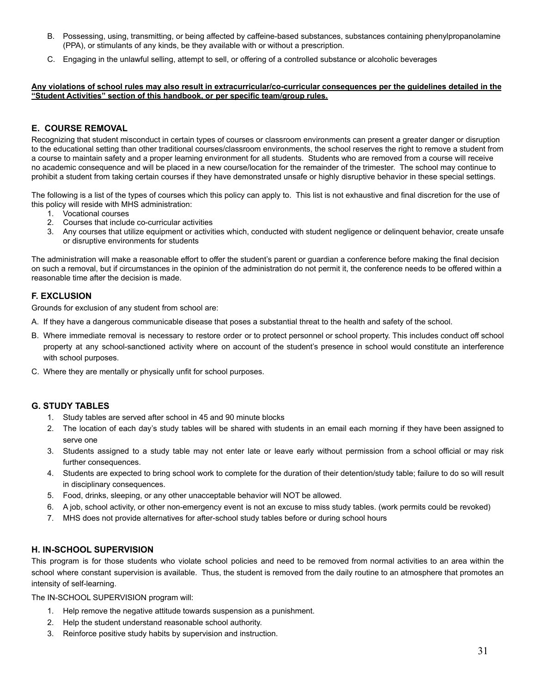- B. Possessing, using, transmitting, or being affected by caffeine-based substances, substances containing phenylpropanolamine (PPA), or stimulants of any kinds, be they available with or without a prescription.
- C. Engaging in the unlawful selling, attempt to sell, or offering of a controlled substance or alcoholic beverages

#### **Any violations of school rules may also result in extracurricular/co-curricular consequences per the guidelines detailed in the "Student Activities" section of this handbook, or per specific team/group rules.**

### <span id="page-30-0"></span>**E. COURSE REMOVAL**

Recognizing that student misconduct in certain types of courses or classroom environments can present a greater danger or disruption to the educational setting than other traditional courses/classroom environments, the school reserves the right to remove a student from a course to maintain safety and a proper learning environment for all students. Students who are removed from a course will receive no academic consequence and will be placed in a new course/location for the remainder of the trimester. The school may continue to prohibit a student from taking certain courses if they have demonstrated unsafe or highly disruptive behavior in these special settings.

The following is a list of the types of courses which this policy can apply to. This list is not exhaustive and final discretion for the use of this policy will reside with MHS administration:

- 1. Vocational courses
- 2. Courses that include co-curricular activities
- 3. Any courses that utilize equipment or activities which, conducted with student negligence or delinquent behavior, create unsafe or disruptive environments for students

The administration will make a reasonable effort to offer the student's parent or guardian a conference before making the final decision on such a removal, but if circumstances in the opinion of the administration do not permit it, the conference needs to be offered within a reasonable time after the decision is made.

#### <span id="page-30-1"></span>**F. EXCLUSION**

Grounds for exclusion of any student from school are:

- A. If they have a dangerous communicable disease that poses a substantial threat to the health and safety of the school.
- B. Where immediate removal is necessary to restore order or to protect personnel or school property. This includes conduct off school property at any school-sanctioned activity where on account of the student's presence in school would constitute an interference with school purposes.
- C. Where they are mentally or physically unfit for school purposes.

#### <span id="page-30-2"></span>**G. STUDY TABLES**

- 1. Study tables are served after school in 45 and 90 minute blocks
- 2. The location of each day's study tables will be shared with students in an email each morning if they have been assigned to serve one
- 3. Students assigned to a study table may not enter late or leave early without permission from a school official or may risk further consequences.
- 4. Students are expected to bring school work to complete for the duration of their detention/study table; failure to do so will result in disciplinary consequences.
- 5. Food, drinks, sleeping, or any other unacceptable behavior will NOT be allowed.
- 6. A job, school activity, or other non-emergency event is not an excuse to miss study tables. (work permits could be revoked)
- 7. MHS does not provide alternatives for after-school study tables before or during school hours

## <span id="page-30-3"></span>**H. IN-SCHOOL SUPERVISION**

This program is for those students who violate school policies and need to be removed from normal activities to an area within the school where constant supervision is available. Thus, the student is removed from the daily routine to an atmosphere that promotes an intensity of self-learning.

The IN-SCHOOL SUPERVISION program will:

- 1. Help remove the negative attitude towards suspension as a punishment.
- 2. Help the student understand reasonable school authority.
- 3. Reinforce positive study habits by supervision and instruction.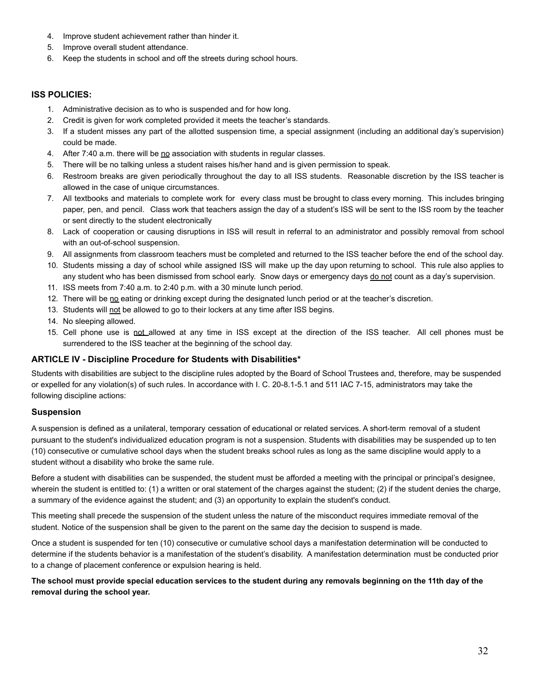- 4. Improve student achievement rather than hinder it.
- 5. Improve overall student attendance.
- 6. Keep the students in school and off the streets during school hours.

#### <span id="page-31-0"></span>**ISS POLICIES:**

- 1. Administrative decision as to who is suspended and for how long.
- 2. Credit is given for work completed provided it meets the teacher's standards.
- 3. If a student misses any part of the allotted suspension time, a special assignment (including an additional day's supervision) could be made.
- 4. After 7:40 a.m. there will be no association with students in regular classes.
- 5. There will be no talking unless a student raises his/her hand and is given permission to speak.
- 6. Restroom breaks are given periodically throughout the day to all ISS students. Reasonable discretion by the ISS teacher is allowed in the case of unique circumstances.
- 7. All textbooks and materials to complete work for every class must be brought to class every morning. This includes bringing paper, pen, and pencil. Class work that teachers assign the day of a student's ISS will be sent to the ISS room by the teacher or sent directly to the student electronically
- 8. Lack of cooperation or causing disruptions in ISS will result in referral to an administrator and possibly removal from school with an out-of-school suspension.
- 9. All assignments from classroom teachers must be completed and returned to the ISS teacher before the end of the school day.
- 10. Students missing a day of school while assigned ISS will make up the day upon returning to school. This rule also applies to any student who has been dismissed from school early. Snow days or emergency days do not count as a day's supervision.
- 11. ISS meets from 7:40 a.m. to 2:40 p.m. with a 30 minute lunch period.
- 12. There will be no eating or drinking except during the designated lunch period or at the teacher's discretion.
- 13. Students will not be allowed to go to their lockers at any time after ISS begins.
- 14. No sleeping allowed.
- 15. Cell phone use is not allowed at any time in ISS except at the direction of the ISS teacher. All cell phones must be surrendered to the ISS teacher at the beginning of the school day.

#### <span id="page-31-1"></span>**ARTICLE IV - Discipline Procedure for Students with Disabilities\***

Students with disabilities are subject to the discipline rules adopted by the Board of School Trustees and, therefore, may be suspended or expelled for any violation(s) of such rules. In accordance with I. C. 20-8.1-5.1 and 511 IAC 7-15, administrators may take the following discipline actions:

#### <span id="page-31-2"></span>**Suspension**

A suspension is defined as a unilateral, temporary cessation of educational or related services. A short-term removal of a student pursuant to the student's individualized education program is not a suspension. Students with disabilities may be suspended up to ten (10) consecutive or cumulative school days when the student breaks school rules as long as the same discipline would apply to a student without a disability who broke the same rule.

Before a student with disabilities can be suspended, the student must be afforded a meeting with the principal or principal's designee, wherein the student is entitled to: (1) a written or oral statement of the charges against the student; (2) if the student denies the charge, a summary of the evidence against the student; and (3) an opportunity to explain the student's conduct.

This meeting shall precede the suspension of the student unless the nature of the misconduct requires immediate removal of the student. Notice of the suspension shall be given to the parent on the same day the decision to suspend is made.

Once a student is suspended for ten (10) consecutive or cumulative school days a manifestation determination will be conducted to determine if the students behavior is a manifestation of the student's disability. A manifestation determination must be conducted prior to a change of placement conference or expulsion hearing is held.

#### **The school must provide special education services to the student during any removals beginning on the 11th day of the removal during the school year.**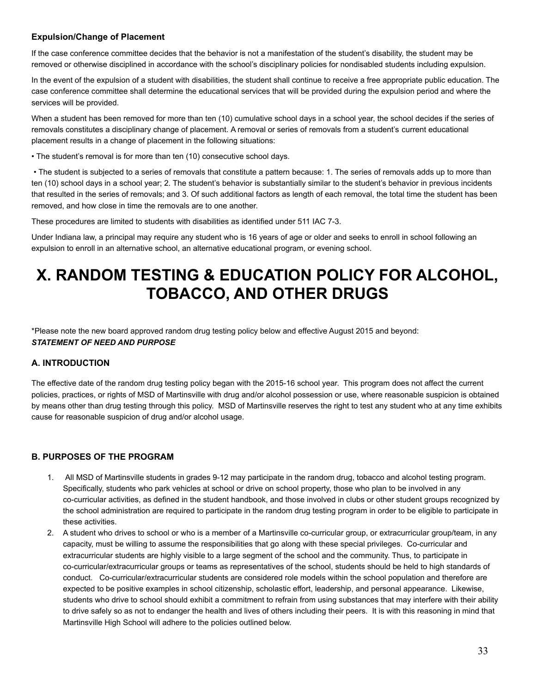## <span id="page-32-0"></span>**Expulsion/Change of Placement**

If the case conference committee decides that the behavior is not a manifestation of the student's disability, the student may be removed or otherwise disciplined in accordance with the school's disciplinary policies for nondisabled students including expulsion.

In the event of the expulsion of a student with disabilities, the student shall continue to receive a free appropriate public education. The case conference committee shall determine the educational services that will be provided during the expulsion period and where the services will be provided.

When a student has been removed for more than ten (10) cumulative school days in a school year, the school decides if the series of removals constitutes a disciplinary change of placement. A removal or series of removals from a student's current educational placement results in a change of placement in the following situations:

• The student's removal is for more than ten (10) consecutive school days.

• The student is subjected to a series of removals that constitute a pattern because: 1. The series of removals adds up to more than ten (10) school days in a school year; 2. The student's behavior is substantially similar to the student's behavior in previous incidents that resulted in the series of removals; and 3. Of such additional factors as length of each removal, the total time the student has been removed, and how close in time the removals are to one another.

These procedures are limited to students with disabilities as identified under 511 IAC 7-3.

Under Indiana law, a principal may require any student who is 16 years of age or older and seeks to enroll in school following an expulsion to enroll in an alternative school, an alternative educational program, or evening school.

## <span id="page-32-1"></span>**X. RANDOM TESTING & EDUCATION POLICY FOR ALCOHOL, TOBACCO, AND OTHER DRUGS**

\*Please note the new board approved random drug testing policy below and effective August 2015 and beyond: *STATEMENT OF NEED AND PURPOSE*

## <span id="page-32-2"></span>**A. INTRODUCTION**

The effective date of the random drug testing policy began with the 2015-16 school year. This program does not affect the current policies, practices, or rights of MSD of Martinsville with drug and/or alcohol possession or use, where reasonable suspicion is obtained by means other than drug testing through this policy. MSD of Martinsville reserves the right to test any student who at any time exhibits cause for reasonable suspicion of drug and/or alcohol usage.

## <span id="page-32-3"></span>**B. PURPOSES OF THE PROGRAM**

- 1. All MSD of Martinsville students in grades 9-12 may participate in the random drug, tobacco and alcohol testing program. Specifically, students who park vehicles at school or drive on school property, those who plan to be involved in any co-curricular activities, as defined in the student handbook, and those involved in clubs or other student groups recognized by the school administration are required to participate in the random drug testing program in order to be eligible to participate in these activities.
- 2. A student who drives to school or who is a member of a Martinsville co-curricular group, or extracurricular group/team, in any capacity, must be willing to assume the responsibilities that go along with these special privileges. Co-curricular and extracurricular students are highly visible to a large segment of the school and the community. Thus, to participate in co-curricular/extracurricular groups or teams as representatives of the school, students should be held to high standards of conduct. Co-curricular/extracurricular students are considered role models within the school population and therefore are expected to be positive examples in school citizenship, scholastic effort, leadership, and personal appearance. Likewise, students who drive to school should exhibit a commitment to refrain from using substances that may interfere with their ability to drive safely so as not to endanger the health and lives of others including their peers. It is with this reasoning in mind that Martinsville High School will adhere to the policies outlined below.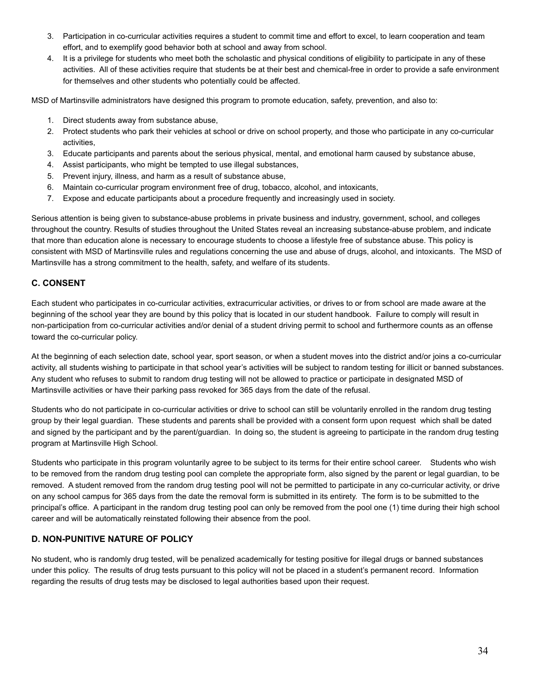- 3. Participation in co-curricular activities requires a student to commit time and effort to excel, to learn cooperation and team effort, and to exemplify good behavior both at school and away from school.
- 4. It is a privilege for students who meet both the scholastic and physical conditions of eligibility to participate in any of these activities. All of these activities require that students be at their best and chemical-free in order to provide a safe environment for themselves and other students who potentially could be affected.

MSD of Martinsville administrators have designed this program to promote education, safety, prevention, and also to:

- 1. Direct students away from substance abuse,
- 2. Protect students who park their vehicles at school or drive on school property, and those who participate in any co-curricular activities,
- 3. Educate participants and parents about the serious physical, mental, and emotional harm caused by substance abuse,
- 4. Assist participants, who might be tempted to use illegal substances,
- 5. Prevent injury, illness, and harm as a result of substance abuse,
- 6. Maintain co-curricular program environment free of drug, tobacco, alcohol, and intoxicants,
- 7. Expose and educate participants about a procedure frequently and increasingly used in society.

Serious attention is being given to substance-abuse problems in private business and industry, government, school, and colleges throughout the country. Results of studies throughout the United States reveal an increasing substance-abuse problem, and indicate that more than education alone is necessary to encourage students to choose a lifestyle free of substance abuse. This policy is consistent with MSD of Martinsville rules and regulations concerning the use and abuse of drugs, alcohol, and intoxicants. The MSD of Martinsville has a strong commitment to the health, safety, and welfare of its students.

## <span id="page-33-0"></span>**C. CONSENT**

Each student who participates in co-curricular activities, extracurricular activities, or drives to or from school are made aware at the beginning of the school year they are bound by this policy that is located in our student handbook. Failure to comply will result in non-participation from co-curricular activities and/or denial of a student driving permit to school and furthermore counts as an offense toward the co-curricular policy.

At the beginning of each selection date, school year, sport season, or when a student moves into the district and/or joins a co-curricular activity, all students wishing to participate in that school year's activities will be subject to random testing for illicit or banned substances. Any student who refuses to submit to random drug testing will not be allowed to practice or participate in designated MSD of Martinsville activities or have their parking pass revoked for 365 days from the date of the refusal.

Students who do not participate in co-curricular activities or drive to school can still be voluntarily enrolled in the random drug testing group by their legal guardian. These students and parents shall be provided with a consent form upon request which shall be dated and signed by the participant and by the parent/guardian. In doing so, the student is agreeing to participate in the random drug testing program at Martinsville High School.

Students who participate in this program voluntarily agree to be subject to its terms for their entire school career. Students who wish to be removed from the random drug testing pool can complete the appropriate form, also signed by the parent or legal guardian, to be removed. A student removed from the random drug testing pool will not be permitted to participate in any co-curricular activity, or drive on any school campus for 365 days from the date the removal form is submitted in its entirety. The form is to be submitted to the principal's office. A participant in the random drug testing pool can only be removed from the pool one (1) time during their high school career and will be automatically reinstated following their absence from the pool.

## <span id="page-33-1"></span>**D. NON-PUNITIVE NATURE OF POLICY**

No student, who is randomly drug tested, will be penalized academically for testing positive for illegal drugs or banned substances under this policy. The results of drug tests pursuant to this policy will not be placed in a student's permanent record. Information regarding the results of drug tests may be disclosed to legal authorities based upon their request.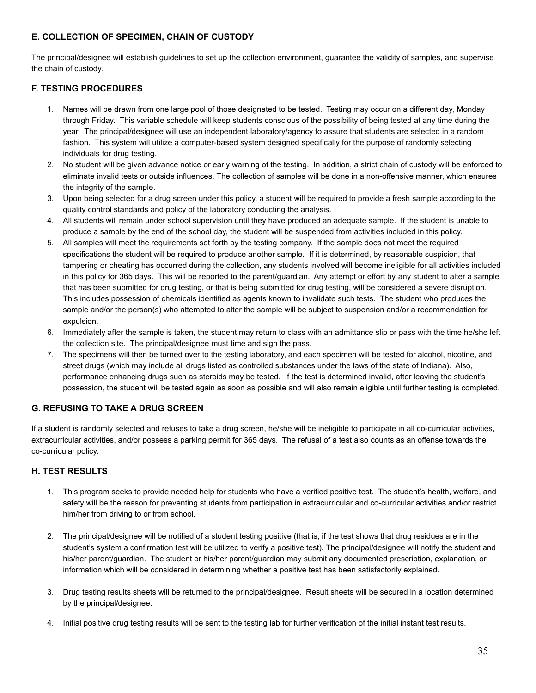## <span id="page-34-0"></span>**E. COLLECTION OF SPECIMEN, CHAIN OF CUSTODY**

The principal/designee will establish guidelines to set up the collection environment, guarantee the validity of samples, and supervise the chain of custody.

## <span id="page-34-1"></span>**F. TESTING PROCEDURES**

- 1. Names will be drawn from one large pool of those designated to be tested. Testing may occur on a different day, Monday through Friday. This variable schedule will keep students conscious of the possibility of being tested at any time during the year. The principal/designee will use an independent laboratory/agency to assure that students are selected in a random fashion. This system will utilize a computer-based system designed specifically for the purpose of randomly selecting individuals for drug testing.
- 2. No student will be given advance notice or early warning of the testing. In addition, a strict chain of custody will be enforced to eliminate invalid tests or outside influences. The collection of samples will be done in a non-offensive manner, which ensures the integrity of the sample.
- 3. Upon being selected for a drug screen under this policy, a student will be required to provide a fresh sample according to the quality control standards and policy of the laboratory conducting the analysis.
- 4. All students will remain under school supervision until they have produced an adequate sample. If the student is unable to produce a sample by the end of the school day, the student will be suspended from activities included in this policy.
- 5. All samples will meet the requirements set forth by the testing company. If the sample does not meet the required specifications the student will be required to produce another sample. If it is determined, by reasonable suspicion, that tampering or cheating has occurred during the collection, any students involved will become ineligible for all activities included in this policy for 365 days. This will be reported to the parent/guardian. Any attempt or effort by any student to alter a sample that has been submitted for drug testing, or that is being submitted for drug testing, will be considered a severe disruption. This includes possession of chemicals identified as agents known to invalidate such tests. The student who produces the sample and/or the person(s) who attempted to alter the sample will be subject to suspension and/or a recommendation for expulsion.
- 6. Immediately after the sample is taken, the student may return to class with an admittance slip or pass with the time he/she left the collection site. The principal/designee must time and sign the pass.
- 7. The specimens will then be turned over to the testing laboratory, and each specimen will be tested for alcohol, nicotine, and street drugs (which may include all drugs listed as controlled substances under the laws of the state of Indiana). Also, performance enhancing drugs such as steroids may be tested. If the test is determined invalid, after leaving the student's possession, the student will be tested again as soon as possible and will also remain eligible until further testing is completed.

## <span id="page-34-2"></span>**G. REFUSING TO TAKE A DRUG SCREEN**

If a student is randomly selected and refuses to take a drug screen, he/she will be ineligible to participate in all co-curricular activities, extracurricular activities, and/or possess a parking permit for 365 days. The refusal of a test also counts as an offense towards the co-curricular policy.

## <span id="page-34-3"></span>**H. TEST RESULTS**

- 1. This program seeks to provide needed help for students who have a verified positive test. The student's health, welfare, and safety will be the reason for preventing students from participation in extracurricular and co-curricular activities and/or restrict him/her from driving to or from school.
- 2. The principal/designee will be notified of a student testing positive (that is, if the test shows that drug residues are in the student's system a confirmation test will be utilized to verify a positive test)*.* The principal/designee will notify the student and his/her parent/guardian. The student or his/her parent/guardian may submit any documented prescription, explanation, or information which will be considered in determining whether a positive test has been satisfactorily explained.
- 3. Drug testing results sheets will be returned to the principal/designee. Result sheets will be secured in a location determined by the principal/designee.
- 4. Initial positive drug testing results will be sent to the testing lab for further verification of the initial instant test results.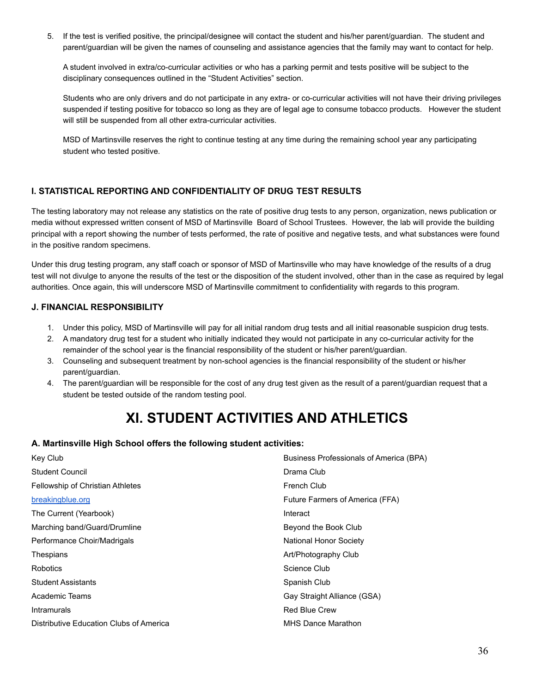5. If the test is verified positive, the principal/designee will contact the student and his/her parent/guardian. The student and parent/guardian will be given the names of counseling and assistance agencies that the family may want to contact for help.

A student involved in extra/co-curricular activities or who has a parking permit and tests positive will be subject to the disciplinary consequences outlined in the "Student Activities" section.

Students who are only drivers and do not participate in any extra- or co-curricular activities will not have their driving privileges suspended if testing positive for tobacco so long as they are of legal age to consume tobacco products. However the student will still be suspended from all other extra-curricular activities.

MSD of Martinsville reserves the right to continue testing at any time during the remaining school year any participating student who tested positive.

## <span id="page-35-0"></span>**I. STATISTICAL REPORTING AND CONFIDENTIALITY OF DRUG TEST RESULTS**

The testing laboratory may not release any statistics on the rate of positive drug tests to any person, organization, news publication or media without expressed written consent of MSD of Martinsville Board of School Trustees. However, the lab will provide the building principal with a report showing the number of tests performed, the rate of positive and negative tests, and what substances were found in the positive random specimens.

Under this drug testing program, any staff coach or sponsor of MSD of Martinsville who may have knowledge of the results of a drug test will not divulge to anyone the results of the test or the disposition of the student involved, other than in the case as required by legal authorities. Once again, this will underscore MSD of Martinsville commitment to confidentiality with regards to this program.

## <span id="page-35-1"></span>**J. FINANCIAL RESPONSIBILITY**

- 1. Under this policy, MSD of Martinsville will pay for all initial random drug tests and all initial reasonable suspicion drug tests.
- 2. A mandatory drug test for a student who initially indicated they would not participate in any co-curricular activity for the remainder of the school year is the financial responsibility of the student or his/her parent/guardian.
- 3. Counseling and subsequent treatment by non-school agencies is the financial responsibility of the student or his/her parent/guardian.
- 4. The parent/guardian will be responsible for the cost of any drug test given as the result of a parent/guardian request that a student be tested outside of the random testing pool.

## **XI. STUDENT ACTIVITIES AND ATHLETICS**

## <span id="page-35-2"></span>**A. Martinsville High School offers the following student activities:**

| Business Professionals of America (BPA) |  |
|-----------------------------------------|--|
| Drama Club                              |  |
| French Club                             |  |
| Future Farmers of America (FFA)         |  |
| Interact                                |  |
| Beyond the Book Club                    |  |
| <b>National Honor Society</b>           |  |
| Art/Photography Club                    |  |
| Science Club                            |  |
| Spanish Club                            |  |
| Gay Straight Alliance (GSA)             |  |
| <b>Red Blue Crew</b>                    |  |
| <b>MHS Dance Marathon</b>               |  |
|                                         |  |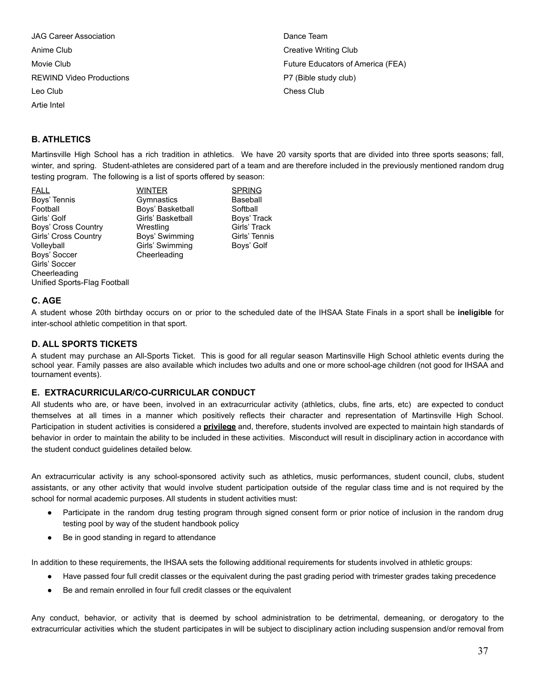JAG Career Association Anime Club Movie Club REWIND Video Productions Leo Club Artie Intel

Dance Team Creative Writing Club Future Educators of America (FEA) P7 (Bible study club) Chess Club

## **B. ATHLETICS**

Martinsville High School has a rich tradition in athletics. We have 20 varsity sports that are divided into three sports seasons; fall, winter, and spring. Student-athletes are considered part of a team and are therefore included in the previously mentioned random drug testing program. The following is a list of sports offered by season:

FALL WINTER SPRING Boys' Tennis **Baseball** Gymnastics **Baseball** Football Boys' Basketball Softball Girls' Golf **Girls' Basketball** Boys' Track Boys' Cross Country **Miss Wrestling Girls' Track** Girls' Cross Country **Boys' Swimming Cirls' Tennis** Volleyball **Girls' Swimming** Boys' Golf Boys' Soccer Cheerleading Girls' Soccer Cheerleading Unified Sports-Flag Football

#### **C. AGE**

A student whose 20th birthday occurs on or prior to the scheduled date of the IHSAA State Finals in a sport shall be **ineligible** for inter-school athletic competition in that sport.

#### **D. ALL SPORTS TICKETS**

A student may purchase an All-Sports Ticket. This is good for all regular season Martinsville High School athletic events during the school year. Family passes are also available which includes two adults and one or more school-age children (not good for IHSAA and tournament events).

#### **E. EXTRACURRICULAR/CO-CURRICULAR CONDUCT**

All students who are, or have been, involved in an extracurricular activity (athletics, clubs, fine arts, etc) are expected to conduct themselves at all times in a manner which positively reflects their character and representation of Martinsville High School. Participation in student activities is considered a **privilege** and, therefore, students involved are expected to maintain high standards of behavior in order to maintain the ability to be included in these activities. Misconduct will result in disciplinary action in accordance with the student conduct guidelines detailed below.

An extracurricular activity is any school-sponsored activity such as athletics, music performances, student council, clubs, student assistants, or any other activity that would involve student participation outside of the regular class time and is not required by the school for normal academic purposes. All students in student activities must:

- Participate in the random drug testing program through signed consent form or prior notice of inclusion in the random drug testing pool by way of the student handbook policy
- Be in good standing in regard to attendance

In addition to these requirements, the IHSAA sets the following additional requirements for students involved in athletic groups:

- Have passed four full credit classes or the equivalent during the past grading period with trimester grades taking precedence
- Be and remain enrolled in four full credit classes or the equivalent

Any conduct, behavior, or activity that is deemed by school administration to be detrimental, demeaning, or derogatory to the extracurricular activities which the student participates in will be subject to disciplinary action including suspension and/or removal from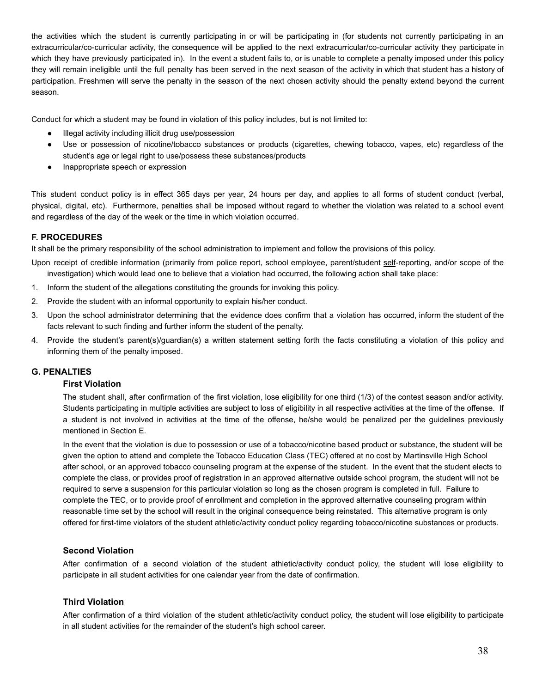the activities which the student is currently participating in or will be participating in (for students not currently participating in an extracurricular/co-curricular activity, the consequence will be applied to the next extracurricular/co-curricular activity they participate in which they have previously participated in). In the event a student fails to, or is unable to complete a penalty imposed under this policy they will remain ineligible until the full penalty has been served in the next season of the activity in which that student has a history of participation. Freshmen will serve the penalty in the season of the next chosen activity should the penalty extend beyond the current season.

Conduct for which a student may be found in violation of this policy includes, but is not limited to:

- Illegal activity including illicit drug use/possession
- Use or possession of nicotine/tobacco substances or products (cigarettes, chewing tobacco, vapes, etc) regardless of the student's age or legal right to use/possess these substances/products
- Inappropriate speech or expression

This student conduct policy is in effect 365 days per year, 24 hours per day, and applies to all forms of student conduct (verbal, physical, digital, etc). Furthermore, penalties shall be imposed without regard to whether the violation was related to a school event and regardless of the day of the week or the time in which violation occurred.

#### **F. PROCEDURES**

It shall be the primary responsibility of the school administration to implement and follow the provisions of this policy.

Upon receipt of credible information (primarily from police report, school employee, parent/student self-reporting, and/or scope of the investigation) which would lead one to believe that a violation had occurred, the following action shall take place:

- 1. Inform the student of the allegations constituting the grounds for invoking this policy.
- 2. Provide the student with an informal opportunity to explain his/her conduct.
- 3. Upon the school administrator determining that the evidence does confirm that a violation has occurred, inform the student of the facts relevant to such finding and further inform the student of the penalty.
- 4. Provide the student's parent(s)/guardian(s) a written statement setting forth the facts constituting a violation of this policy and informing them of the penalty imposed.

#### **G. PENALTIES**

#### **First Violation**

The student shall, after confirmation of the first violation, lose eligibility for one third (1/3) of the contest season and/or activity. Students participating in multiple activities are subject to loss of eligibility in all respective activities at the time of the offense. If a student is not involved in activities at the time of the offense, he/she would be penalized per the guidelines previously mentioned in Section E.

In the event that the violation is due to possession or use of a tobacco/nicotine based product or substance, the student will be given the option to attend and complete the Tobacco Education Class (TEC) offered at no cost by Martinsville High School after school, or an approved tobacco counseling program at the expense of the student. In the event that the student elects to complete the class, or provides proof of registration in an approved alternative outside school program, the student will not be required to serve a suspension for this particular violation so long as the chosen program is completed in full. Failure to complete the TEC, or to provide proof of enrollment and completion in the approved alternative counseling program within reasonable time set by the school will result in the original consequence being reinstated. This alternative program is only offered for first-time violators of the student athletic/activity conduct policy regarding tobacco/nicotine substances or products.

#### **Second Violation**

After confirmation of a second violation of the student athletic/activity conduct policy, the student will lose eligibility to participate in all student activities for one calendar year from the date of confirmation.

#### **Third Violation**

After confirmation of a third violation of the student athletic/activity conduct policy, the student will lose eligibility to participate in all student activities for the remainder of the student's high school career.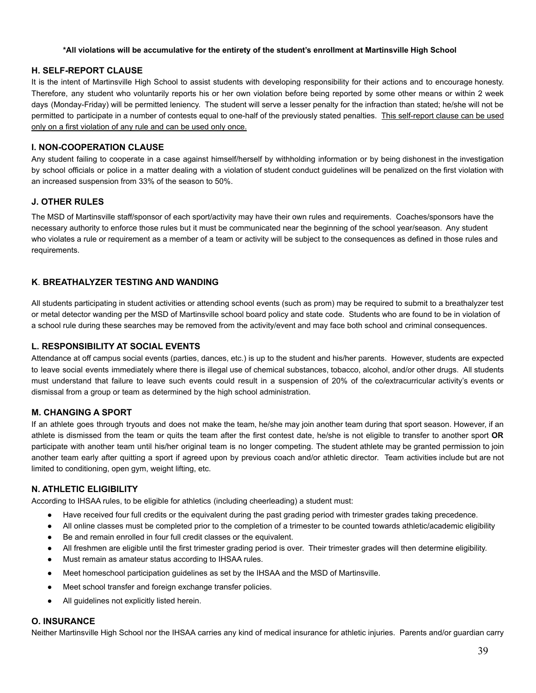#### **\*All violations will be accumulative for the entirety of the student's enrollment at Martinsville High School**

#### **H. SELF-REPORT CLAUSE**

It is the intent of Martinsville High School to assist students with developing responsibility for their actions and to encourage honesty. Therefore, any student who voluntarily reports his or her own violation before being reported by some other means or within 2 week days (Monday-Friday) will be permitted leniency. The student will serve a lesser penalty for the infraction than stated; he/she will not be permitted to participate in a number of contests equal to one-half of the previously stated penalties. This self-report clause can be used only on a first violation of any rule and can be used only once.

#### **I. NON-COOPERATION CLAUSE**

Any student failing to cooperate in a case against himself/herself by withholding information or by being dishonest in the investigation by school officials or police in a matter dealing with a violation of student conduct guidelines will be penalized on the first violation with an increased suspension from 33% of the season to 50%.

#### **J. OTHER RULES**

The MSD of Martinsville staff/sponsor of each sport/activity may have their own rules and requirements. Coaches/sponsors have the necessary authority to enforce those rules but it must be communicated near the beginning of the school year/season. Any student who violates a rule or requirement as a member of a team or activity will be subject to the consequences as defined in those rules and requirements.

## **K**. **BREATHALYZER TESTING AND WANDING**

All students participating in student activities or attending school events (such as prom) may be required to submit to a breathalyzer test or metal detector wanding per the MSD of Martinsville school board policy and state code. Students who are found to be in violation of a school rule during these searches may be removed from the activity/event and may face both school and criminal consequences.

#### **L. RESPONSIBILITY AT SOCIAL EVENTS**

Attendance at off campus social events (parties, dances, etc.) is up to the student and his/her parents. However, students are expected to leave social events immediately where there is illegal use of chemical substances, tobacco, alcohol, and/or other drugs. All students must understand that failure to leave such events could result in a suspension of 20% of the co/extracurricular activity's events or dismissal from a group or team as determined by the high school administration.

#### **M. CHANGING A SPORT**

If an athlete goes through tryouts and does not make the team, he/she may join another team during that sport season. However, if an athlete is dismissed from the team or quits the team after the first contest date, he/she is not eligible to transfer to another sport **OR** participate with another team until his/her original team is no longer competing. The student athlete may be granted permission to join another team early after quitting a sport if agreed upon by previous coach and/or athletic director. Team activities include but are not limited to conditioning, open gym, weight lifting, etc.

#### **N. ATHLETIC ELIGIBILITY**

According to IHSAA rules, to be eligible for athletics (including cheerleading) a student must:

- Have received four full credits or the equivalent during the past grading period with trimester grades taking precedence.
- All online classes must be completed prior to the completion of a trimester to be counted towards athletic/academic eligibility
- Be and remain enrolled in four full credit classes or the equivalent.
- All freshmen are eligible until the first trimester grading period is over. Their trimester grades will then determine eligibility.
- Must remain as amateur status according to IHSAA rules.
- Meet homeschool participation guidelines as set by the IHSAA and the MSD of Martinsville.
- Meet school transfer and foreign exchange transfer policies.
- All guidelines not explicitly listed herein.

#### **O. INSURANCE**

Neither Martinsville High School nor the IHSAA carries any kind of medical insurance for athletic injuries. Parents and/or guardian carry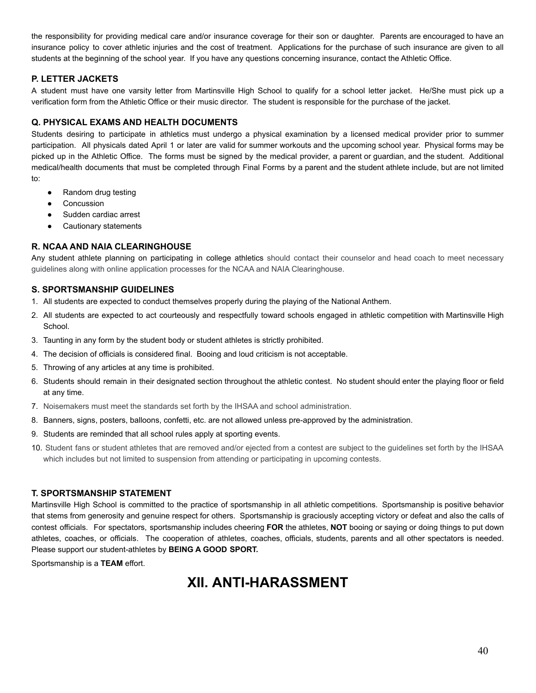the responsibility for providing medical care and/or insurance coverage for their son or daughter. Parents are encouraged to have an insurance policy to cover athletic injuries and the cost of treatment. Applications for the purchase of such insurance are given to all students at the beginning of the school year. If you have any questions concerning insurance, contact the Athletic Office.

## **P. LETTER JACKETS**

A student must have one varsity letter from Martinsville High School to qualify for a school letter jacket. He/She must pick up a verification form from the Athletic Office or their music director. The student is responsible for the purchase of the jacket.

## **Q. PHYSICAL EXAMS AND HEALTH DOCUMENTS**

Students desiring to participate in athletics must undergo a physical examination by a licensed medical provider prior to summer participation. All physicals dated April 1 or later are valid for summer workouts and the upcoming school year. Physical forms may be picked up in the Athletic Office. The forms must be signed by the medical provider, a parent or guardian, and the student. Additional medical/health documents that must be completed through Final Forms by a parent and the student athlete include, but are not limited to:

- Random drug testing
- Concussion
- Sudden cardiac arrest
- Cautionary statements

## **R. NCAA AND NAIA CLEARINGHOUSE**

Any student athlete planning on participating in college athletics should contact their counselor and head coach to meet necessary guidelines along with online application processes for the NCAA and NAIA Clearinghouse.

#### **S. SPORTSMANSHIP GUIDELINES**

- 1. All students are expected to conduct themselves properly during the playing of the National Anthem.
- 2. All students are expected to act courteously and respectfully toward schools engaged in athletic competition with Martinsville High School.
- 3. Taunting in any form by the student body or student athletes is strictly prohibited.
- 4. The decision of officials is considered final. Booing and loud criticism is not acceptable.
- 5. Throwing of any articles at any time is prohibited.
- 6. Students should remain in their designated section throughout the athletic contest. No student should enter the playing floor or field at any time.
- 7. Noisemakers must meet the standards set forth by the IHSAA and school administration.
- 8. Banners, signs, posters, balloons, confetti, etc. are not allowed unless pre-approved by the administration.
- 9. Students are reminded that all school rules apply at sporting events.
- 10. Student fans or student athletes that are removed and/or ejected from a contest are subject to the guidelines set forth by the IHSAA which includes but not limited to suspension from attending or participating in upcoming contests.

## **T. SPORTSMANSHIP STATEMENT**

Martinsville High School is committed to the practice of sportsmanship in all athletic competitions. Sportsmanship is positive behavior that stems from generosity and genuine respect for others. Sportsmanship is graciously accepting victory or defeat and also the calls of contest officials. For spectators, sportsmanship includes cheering **FOR** the athletes, **NOT** booing or saying or doing things to put down athletes, coaches, or officials. The cooperation of athletes, coaches, officials, students, parents and all other spectators is needed. Please support our student-athletes by **BEING A GOOD SPORT.**

<span id="page-39-0"></span>Sportsmanship is a **TEAM** effort.

## **XII. ANTI-HARASSMENT**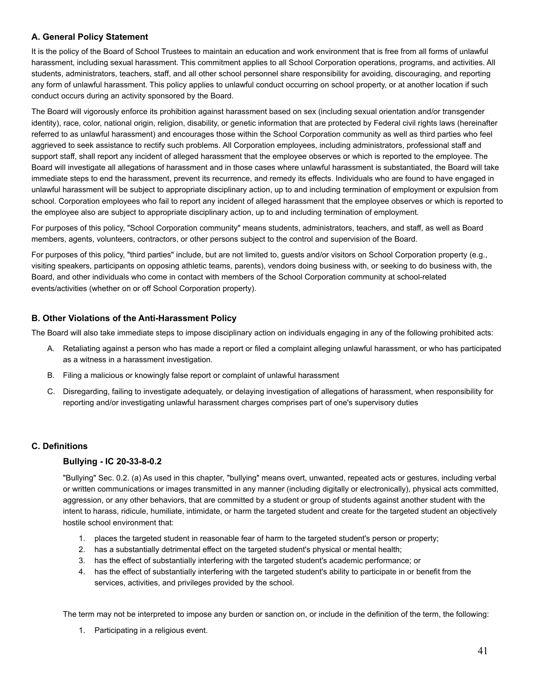## <span id="page-40-0"></span>**A. General Policy Statement**

It is the policy of the Board of School Trustees to maintain an education and work environment that is free from all forms of unlawful harassment, including sexual harassment. This commitment applies to all School Corporation operations, programs, and activities. All students, administrators, teachers, staff, and all other school personnel share responsibility for avoiding, discouraging, and reporting any form of unlawful harassment. This policy applies to unlawful conduct occurring on school property, or at another location if such conduct occurs during an activity sponsored by the Board.

The Board will vigorously enforce its prohibition against harassment based on sex (including sexual orientation and/or transgender identity), race, color, national origin, religion, disability, or genetic information that are protected by Federal civil rights laws (hereinafter referred to as unlawful harassment) and encourages those within the School Corporation community as well as third parties who feel aggrieved to seek assistance to rectify such problems. All Corporation employees, including administrators, professional staff and support staff, shall report any incident of alleged harassment that the employee observes or which is reported to the employee. The Board will investigate all allegations of harassment and in those cases where unlawful harassment is substantiated, the Board will take immediate steps to end the harassment, prevent its recurrence, and remedy its effects. Individuals who are found to have engaged in unlawful harassment will be subject to appropriate disciplinary action, up to and including termination of employment or expulsion from school. Corporation employees who fail to report any incident of alleged harassment that the employee observes or which is reported to the employee also are subject to appropriate disciplinary action, up to and including termination of employment.

For purposes of this policy, "School Corporation community" means students, administrators, teachers, and staff, as well as Board members, agents, volunteers, contractors, or other persons subject to the control and supervision of the Board.

For purposes of this policy, "third parties" include, but are not limited to, guests and/or visitors on School Corporation property (e.g., visiting speakers, participants on opposing athletic teams, parents), vendors doing business with, or seeking to do business with, the Board, and other individuals who come in contact with members of the School Corporation community at school-related events/activities (whether on or off School Corporation property).

## <span id="page-40-1"></span>**B. Other Violations of the Anti-Harassment Policy**

The Board will also take immediate steps to impose disciplinary action on individuals engaging in any of the following prohibited acts:

- A. Retaliating against a person who has made a report or filed a complaint alleging unlawful harassment, or who has participated as a witness in a harassment investigation.
- B. Filing a malicious or knowingly false report or complaint of unlawful harassment
- C. Disregarding, failing to investigate adequately, or delaying investigation of allegations of harassment, when responsibility for reporting and/or investigating unlawful harassment charges comprises part of one's supervisory duties

## <span id="page-40-3"></span><span id="page-40-2"></span>**C. Definitions**

## **Bullying - IC 20-33-8-0.2**

"Bullying" Sec. 0.2. (a) As used in this chapter, "bullying" means overt, unwanted, repeated acts or gestures, including verbal or written communications or images transmitted in any manner (including digitally or electronically), physical acts committed, aggression, or any other behaviors, that are committed by a student or group of students against another student with the intent to harass, ridicule, humiliate, intimidate, or harm the targeted student and create for the targeted student an objectively hostile school environment that:

- 1. places the targeted student in reasonable fear of harm to the targeted student's person or property;
- 2. has a substantially detrimental effect on the targeted student's physical or mental health;
- 3. has the effect of substantially interfering with the targeted student's academic performance; or
- 4. has the effect of substantially interfering with the targeted student's ability to participate in or benefit from the services, activities, and privileges provided by the school.

The term may not be interpreted to impose any burden or sanction on, or include in the definition of the term, the following:

1. Participating in a religious event.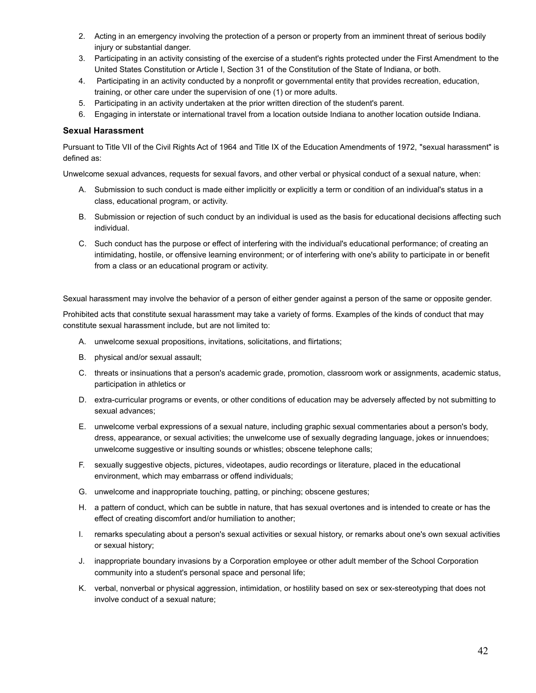- 2. Acting in an emergency involving the protection of a person or property from an imminent threat of serious bodily injury or substantial danger.
- 3. Participating in an activity consisting of the exercise of a student's rights protected under the First Amendment to the United States Constitution or Article I, Section 31 of the Constitution of the State of Indiana, or both.
- 4. Participating in an activity conducted by a nonprofit or governmental entity that provides recreation, education, training, or other care under the supervision of one (1) or more adults.
- 5. Participating in an activity undertaken at the prior written direction of the student's parent.
- 6. Engaging in interstate or international travel from a location outside Indiana to another location outside Indiana.

#### <span id="page-41-0"></span>**Sexual Harassment**

Pursuant to Title VII of the Civil Rights Act of 1964 and Title IX of the Education Amendments of 1972, "sexual harassment" is defined as:

Unwelcome sexual advances, requests for sexual favors, and other verbal or physical conduct of a sexual nature, when:

- A. Submission to such conduct is made either implicitly or explicitly a term or condition of an individual's status in a class, educational program, or activity.
- B. Submission or rejection of such conduct by an individual is used as the basis for educational decisions affecting such individual.
- C. Such conduct has the purpose or effect of interfering with the individual's educational performance; of creating an intimidating, hostile, or offensive learning environment; or of interfering with one's ability to participate in or benefit from a class or an educational program or activity.

Sexual harassment may involve the behavior of a person of either gender against a person of the same or opposite gender.

Prohibited acts that constitute sexual harassment may take a variety of forms. Examples of the kinds of conduct that may constitute sexual harassment include, but are not limited to:

- A. unwelcome sexual propositions, invitations, solicitations, and flirtations;
- B. physical and/or sexual assault;
- C. threats or insinuations that a person's academic grade, promotion, classroom work or assignments, academic status, participation in athletics or
- D. extra-curricular programs or events, or other conditions of education may be adversely affected by not submitting to sexual advances;
- E. unwelcome verbal expressions of a sexual nature, including graphic sexual commentaries about a person's body, dress, appearance, or sexual activities; the unwelcome use of sexually degrading language, jokes or innuendoes; unwelcome suggestive or insulting sounds or whistles; obscene telephone calls;
- F. sexually suggestive objects, pictures, videotapes, audio recordings or literature, placed in the educational environment, which may embarrass or offend individuals;
- G. unwelcome and inappropriate touching, patting, or pinching; obscene gestures;
- H. a pattern of conduct, which can be subtle in nature, that has sexual overtones and is intended to create or has the effect of creating discomfort and/or humiliation to another;
- I. remarks speculating about a person's sexual activities or sexual history, or remarks about one's own sexual activities or sexual history;
- J. inappropriate boundary invasions by a Corporation employee or other adult member of the School Corporation community into a student's personal space and personal life;
- K. verbal, nonverbal or physical aggression, intimidation, or hostility based on sex or sex-stereotyping that does not involve conduct of a sexual nature;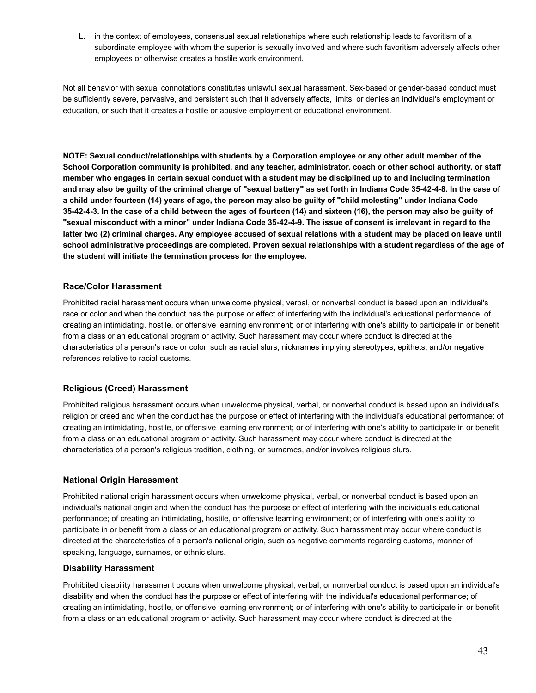L. in the context of employees, consensual sexual relationships where such relationship leads to favoritism of a subordinate employee with whom the superior is sexually involved and where such favoritism adversely affects other employees or otherwise creates a hostile work environment.

Not all behavior with sexual connotations constitutes unlawful sexual harassment. Sex-based or gender-based conduct must be sufficiently severe, pervasive, and persistent such that it adversely affects, limits, or denies an individual's employment or education, or such that it creates a hostile or abusive employment or educational environment.

**NOTE: Sexual conduct/relationships with students by a Corporation employee or any other adult member of the School Corporation community is prohibited, and any teacher, administrator, coach or other school authority, or staff member who engages in certain sexual conduct with a student may be disciplined up to and including termination and may also be guilty of the criminal charge of "sexual battery" as set forth in Indiana Code 35-42-4-8. In the case of a child under fourteen (14) years of age, the person may also be guilty of "child molesting" under Indiana Code 35-42-4-3. In the case of a child between the ages of fourteen (14) and sixteen (16), the person may also be guilty of "sexual misconduct with a minor" under Indiana Code 35-42-4-9. The issue of consent is irrelevant in regard to the latter two (2) criminal charges. Any employee accused of sexual relations with a student may be placed on leave until school administrative proceedings are completed. Proven sexual relationships with a student regardless of the age of the student will initiate the termination process for the employee.**

#### <span id="page-42-0"></span>**Race/Color Harassment**

Prohibited racial harassment occurs when unwelcome physical, verbal, or nonverbal conduct is based upon an individual's race or color and when the conduct has the purpose or effect of interfering with the individual's educational performance; of creating an intimidating, hostile, or offensive learning environment; or of interfering with one's ability to participate in or benefit from a class or an educational program or activity. Such harassment may occur where conduct is directed at the characteristics of a person's race or color, such as racial slurs, nicknames implying stereotypes, epithets, and/or negative references relative to racial customs.

## <span id="page-42-1"></span>**Religious (Creed) Harassment**

Prohibited religious harassment occurs when unwelcome physical, verbal, or nonverbal conduct is based upon an individual's religion or creed and when the conduct has the purpose or effect of interfering with the individual's educational performance; of creating an intimidating, hostile, or offensive learning environment; or of interfering with one's ability to participate in or benefit from a class or an educational program or activity. Such harassment may occur where conduct is directed at the characteristics of a person's religious tradition, clothing, or surnames, and/or involves religious slurs.

#### <span id="page-42-2"></span>**National Origin Harassment**

Prohibited national origin harassment occurs when unwelcome physical, verbal, or nonverbal conduct is based upon an individual's national origin and when the conduct has the purpose or effect of interfering with the individual's educational performance; of creating an intimidating, hostile, or offensive learning environment; or of interfering with one's ability to participate in or benefit from a class or an educational program or activity. Such harassment may occur where conduct is directed at the characteristics of a person's national origin, such as negative comments regarding customs, manner of speaking, language, surnames, or ethnic slurs.

#### <span id="page-42-3"></span>**Disability Harassment**

Prohibited disability harassment occurs when unwelcome physical, verbal, or nonverbal conduct is based upon an individual's disability and when the conduct has the purpose or effect of interfering with the individual's educational performance; of creating an intimidating, hostile, or offensive learning environment; or of interfering with one's ability to participate in or benefit from a class or an educational program or activity. Such harassment may occur where conduct is directed at the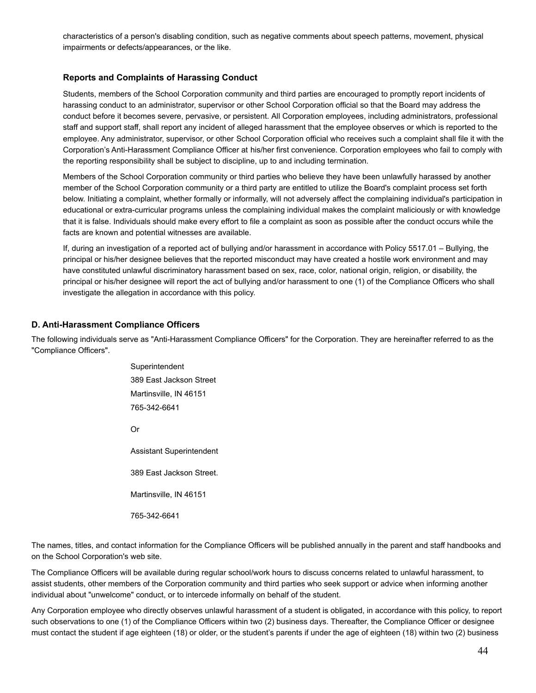characteristics of a person's disabling condition, such as negative comments about speech patterns, movement, physical impairments or defects/appearances, or the like.

### <span id="page-43-0"></span>**Reports and Complaints of Harassing Conduct**

Students, members of the School Corporation community and third parties are encouraged to promptly report incidents of harassing conduct to an administrator, supervisor or other School Corporation official so that the Board may address the conduct before it becomes severe, pervasive, or persistent. All Corporation employees, including administrators, professional staff and support staff, shall report any incident of alleged harassment that the employee observes or which is reported to the employee. Any administrator, supervisor, or other School Corporation official who receives such a complaint shall file it with the Corporation's Anti-Harassment Compliance Officer at his/her first convenience. Corporation employees who fail to comply with the reporting responsibility shall be subject to discipline, up to and including termination.

Members of the School Corporation community or third parties who believe they have been unlawfully harassed by another member of the School Corporation community or a third party are entitled to utilize the Board's complaint process set forth below. Initiating a complaint, whether formally or informally, will not adversely affect the complaining individual's participation in educational or extra-curricular programs unless the complaining individual makes the complaint maliciously or with knowledge that it is false. Individuals should make every effort to file a complaint as soon as possible after the conduct occurs while the facts are known and potential witnesses are available.

If, during an investigation of a reported act of bullying and/or harassment in accordance with Policy 5517.01 – Bullying, the principal or his/her designee believes that the reported misconduct may have created a hostile work environment and may have constituted unlawful discriminatory harassment based on sex, race, color, national origin, religion, or disability, the principal or his/her designee will report the act of bullying and/or harassment to one (1) of the Compliance Officers who shall investigate the allegation in accordance with this policy.

## <span id="page-43-1"></span>**D. Anti-Harassment Compliance Officers**

The following individuals serve as "Anti-Harassment Compliance Officers" for the Corporation. They are hereinafter referred to as the "Compliance Officers".

> Superintendent 389 East Jackson Street Martinsville, IN 46151 765-342-6641 Or Assistant Superintendent 389 East Jackson Street. Martinsville, IN 46151 765-342-6641

The names, titles, and contact information for the Compliance Officers will be published annually in the parent and staff handbooks and on the School Corporation's web site.

The Compliance Officers will be available during regular school/work hours to discuss concerns related to unlawful harassment, to assist students, other members of the Corporation community and third parties who seek support or advice when informing another individual about "unwelcome" conduct, or to intercede informally on behalf of the student.

Any Corporation employee who directly observes unlawful harassment of a student is obligated, in accordance with this policy, to report such observations to one (1) of the Compliance Officers within two (2) business days. Thereafter, the Compliance Officer or designee must contact the student if age eighteen (18) or older, or the student's parents if under the age of eighteen (18) within two (2) business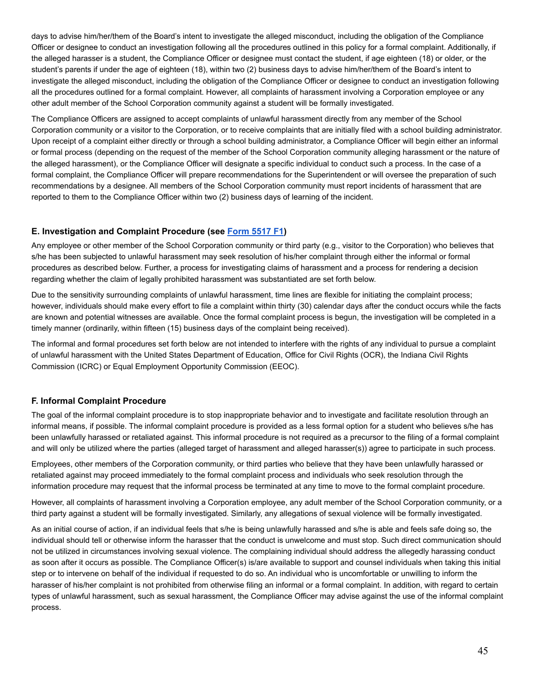days to advise him/her/them of the Board's intent to investigate the alleged misconduct, including the obligation of the Compliance Officer or designee to conduct an investigation following all the procedures outlined in this policy for a formal complaint. Additionally, if the alleged harasser is a student, the Compliance Officer or designee must contact the student, if age eighteen (18) or older, or the student's parents if under the age of eighteen (18), within two (2) business days to advise him/her/them of the Board's intent to investigate the alleged misconduct, including the obligation of the Compliance Officer or designee to conduct an investigation following all the procedures outlined for a formal complaint. However, all complaints of harassment involving a Corporation employee or any other adult member of the School Corporation community against a student will be formally investigated.

The Compliance Officers are assigned to accept complaints of unlawful harassment directly from any member of the School Corporation community or a visitor to the Corporation, or to receive complaints that are initially filed with a school building administrator. Upon receipt of a complaint either directly or through a school building administrator, a Compliance Officer will begin either an informal or formal process (depending on the request of the member of the School Corporation community alleging harassment or the nature of the alleged harassment), or the Compliance Officer will designate a specific individual to conduct such a process. In the case of a formal complaint, the Compliance Officer will prepare recommendations for the Superintendent or will oversee the preparation of such recommendations by a designee. All members of the School Corporation community must report incidents of harassment that are reported to them to the Compliance Officer within two (2) business days of learning of the incident.

## <span id="page-44-0"></span>**E. Investigation and Complaint Procedure (see [Form](http://www.neola.com/martinsville-in/search/forms/fm5517F1.pdf) 5517 F1)**

Any employee or other member of the School Corporation community or third party (e.g., visitor to the Corporation) who believes that s/he has been subjected to unlawful harassment may seek resolution of his/her complaint through either the informal or formal procedures as described below. Further, a process for investigating claims of harassment and a process for rendering a decision regarding whether the claim of legally prohibited harassment was substantiated are set forth below.

Due to the sensitivity surrounding complaints of unlawful harassment, time lines are flexible for initiating the complaint process; however, individuals should make every effort to file a complaint within thirty (30) calendar days after the conduct occurs while the facts are known and potential witnesses are available. Once the formal complaint process is begun, the investigation will be completed in a timely manner (ordinarily, within fifteen (15) business days of the complaint being received).

The informal and formal procedures set forth below are not intended to interfere with the rights of any individual to pursue a complaint of unlawful harassment with the United States Department of Education, Office for Civil Rights (OCR), the Indiana Civil Rights Commission (ICRC) or Equal Employment Opportunity Commission (EEOC).

## <span id="page-44-1"></span>**F. Informal Complaint Procedure**

The goal of the informal complaint procedure is to stop inappropriate behavior and to investigate and facilitate resolution through an informal means, if possible. The informal complaint procedure is provided as a less formal option for a student who believes s/he has been unlawfully harassed or retaliated against. This informal procedure is not required as a precursor to the filing of a formal complaint and will only be utilized where the parties (alleged target of harassment and alleged harasser(s)) agree to participate in such process.

Employees, other members of the Corporation community, or third parties who believe that they have been unlawfully harassed or retaliated against may proceed immediately to the formal complaint process and individuals who seek resolution through the information procedure may request that the informal process be terminated at any time to move to the formal complaint procedure.

However, all complaints of harassment involving a Corporation employee, any adult member of the School Corporation community, or a third party against a student will be formally investigated. Similarly, any allegations of sexual violence will be formally investigated.

As an initial course of action, if an individual feels that s/he is being unlawfully harassed and s/he is able and feels safe doing so, the individual should tell or otherwise inform the harasser that the conduct is unwelcome and must stop. Such direct communication should not be utilized in circumstances involving sexual violence. The complaining individual should address the allegedly harassing conduct as soon after it occurs as possible. The Compliance Officer(s) is/are available to support and counsel individuals when taking this initial step or to intervene on behalf of the individual if requested to do so. An individual who is uncomfortable or unwilling to inform the harasser of his/her complaint is not prohibited from otherwise filing an informal or a formal complaint. In addition, with regard to certain types of unlawful harassment, such as sexual harassment, the Compliance Officer may advise against the use of the informal complaint process.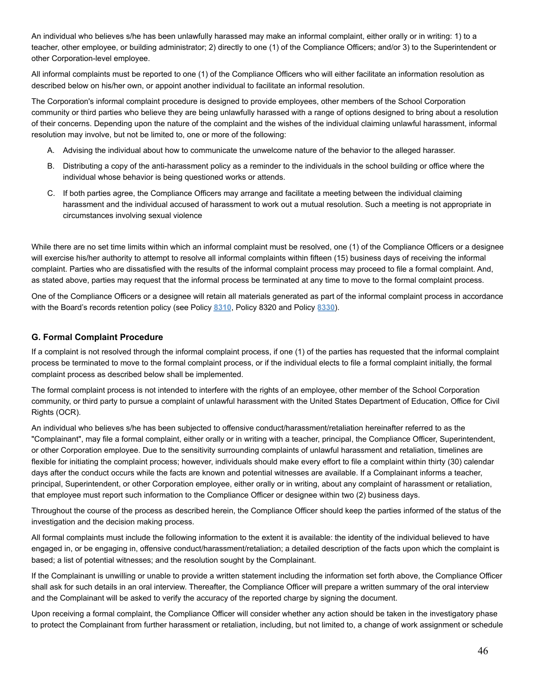An individual who believes s/he has been unlawfully harassed may make an informal complaint, either orally or in writing: 1) to a teacher, other employee, or building administrator; 2) directly to one (1) of the Compliance Officers; and/or 3) to the Superintendent or other Corporation-level employee.

All informal complaints must be reported to one (1) of the Compliance Officers who will either facilitate an information resolution as described below on his/her own, or appoint another individual to facilitate an informal resolution.

The Corporation's informal complaint procedure is designed to provide employees, other members of the School Corporation community or third parties who believe they are being unlawfully harassed with a range of options designed to bring about a resolution of their concerns. Depending upon the nature of the complaint and the wishes of the individual claiming unlawful harassment, informal resolution may involve, but not be limited to, one or more of the following:

- A. Advising the individual about how to communicate the unwelcome nature of the behavior to the alleged harasser.
- B. Distributing a copy of the anti-harassment policy as a reminder to the individuals in the school building or office where the individual whose behavior is being questioned works or attends.
- C. If both parties agree, the Compliance Officers may arrange and facilitate a meeting between the individual claiming harassment and the individual accused of harassment to work out a mutual resolution. Such a meeting is not appropriate in circumstances involving sexual violence

While there are no set time limits within which an informal complaint must be resolved, one (1) of the Compliance Officers or a designee will exercise his/her authority to attempt to resolve all informal complaints within fifteen (15) business days of receiving the informal complaint. Parties who are dissatisfied with the results of the informal complaint process may proceed to file a formal complaint. And, as stated above, parties may request that the informal process be terminated at any time to move to the formal complaint process.

One of the Compliance Officers or a designee will retain all materials generated as part of the informal complaint process in accordance with the Board's records retention policy (see Policy **[8310](http://www.neola.com/martinsville-in/search/policies/po8310.htm)**, Policy 8320 and Policy **[8330](http://www.neola.com/martinsville-in/search/policies/po8330.htm)**).

## <span id="page-45-0"></span>**G. Formal Complaint Procedure**

If a complaint is not resolved through the informal complaint process, if one (1) of the parties has requested that the informal complaint process be terminated to move to the formal complaint process, or if the individual elects to file a formal complaint initially, the formal complaint process as described below shall be implemented.

The formal complaint process is not intended to interfere with the rights of an employee, other member of the School Corporation community, or third party to pursue a complaint of unlawful harassment with the United States Department of Education, Office for Civil Rights (OCR).

An individual who believes s/he has been subjected to offensive conduct/harassment/retaliation hereinafter referred to as the "Complainant", may file a formal complaint, either orally or in writing with a teacher, principal, the Compliance Officer, Superintendent, or other Corporation employee. Due to the sensitivity surrounding complaints of unlawful harassment and retaliation, timelines are flexible for initiating the complaint process; however, individuals should make every effort to file a complaint within thirty (30) calendar days after the conduct occurs while the facts are known and potential witnesses are available. If a Complainant informs a teacher, principal, Superintendent, or other Corporation employee, either orally or in writing, about any complaint of harassment or retaliation, that employee must report such information to the Compliance Officer or designee within two (2) business days.

Throughout the course of the process as described herein, the Compliance Officer should keep the parties informed of the status of the investigation and the decision making process.

All formal complaints must include the following information to the extent it is available: the identity of the individual believed to have engaged in, or be engaging in, offensive conduct/harassment/retaliation; a detailed description of the facts upon which the complaint is based; a list of potential witnesses; and the resolution sought by the Complainant.

If the Complainant is unwilling or unable to provide a written statement including the information set forth above, the Compliance Officer shall ask for such details in an oral interview. Thereafter, the Compliance Officer will prepare a written summary of the oral interview and the Complainant will be asked to verify the accuracy of the reported charge by signing the document.

Upon receiving a formal complaint, the Compliance Officer will consider whether any action should be taken in the investigatory phase to protect the Complainant from further harassment or retaliation, including, but not limited to, a change of work assignment or schedule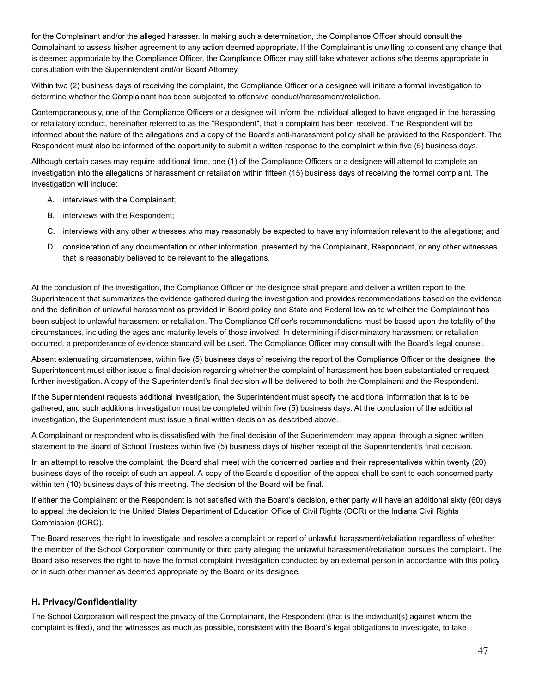for the Complainant and/or the alleged harasser. In making such a determination, the Compliance Officer should consult the Complainant to assess his/her agreement to any action deemed appropriate. If the Complainant is unwilling to consent any change that is deemed appropriate by the Compliance Officer, the Compliance Officer may still take whatever actions s/he deems appropriate in consultation with the Superintendent and/or Board Attorney.

Within two (2) business days of receiving the complaint, the Compliance Officer or a designee will initiate a formal investigation to determine whether the Complainant has been subjected to offensive conduct/harassment/retaliation.

Contemporaneously, one of the Compliance Officers or a designee will inform the individual alleged to have engaged in the harassing or retaliatory conduct, hereinafter referred to as the "Respondent", that a complaint has been received. The Respondent will be informed about the nature of the allegations and a copy of the Board's anti-harassment policy shall be provided to the Respondent. The Respondent must also be informed of the opportunity to submit a written response to the complaint within five (5) business days.

Although certain cases may require additional time, one (1) of the Compliance Officers or a designee will attempt to complete an investigation into the allegations of harassment or retaliation within fifteen (15) business days of receiving the formal complaint. The investigation will include:

- A. interviews with the Complainant;
- B. interviews with the Respondent;
- C. interviews with any other witnesses who may reasonably be expected to have any information relevant to the allegations; and
- D. consideration of any documentation or other information, presented by the Complainant, Respondent, or any other witnesses that is reasonably believed to be relevant to the allegations.

At the conclusion of the investigation, the Compliance Officer or the designee shall prepare and deliver a written report to the Superintendent that summarizes the evidence gathered during the investigation and provides recommendations based on the evidence and the definition of unlawful harassment as provided in Board policy and State and Federal law as to whether the Complainant has been subject to unlawful harassment or retaliation. The Compliance Officer's recommendations must be based upon the totality of the circumstances, including the ages and maturity levels of those involved. In determining if discriminatory harassment or retaliation occurred, a preponderance of evidence standard will be used. The Compliance Officer may consult with the Board's legal counsel.

Absent extenuating circumstances, within five (5) business days of receiving the report of the Compliance Officer or the designee, the Superintendent must either issue a final decision regarding whether the complaint of harassment has been substantiated or request further investigation. A copy of the Superintendent's final decision will be delivered to both the Complainant and the Respondent.

If the Superintendent requests additional investigation, the Superintendent must specify the additional information that is to be gathered, and such additional investigation must be completed within five (5) business days. At the conclusion of the additional investigation, the Superintendent must issue a final written decision as described above.

A Complainant or respondent who is dissatisfied with the final decision of the Superintendent may appeal through a signed written statement to the Board of School Trustees within five (5) business days of his/her receipt of the Superintendent's final decision.

In an attempt to resolve the complaint, the Board shall meet with the concerned parties and their representatives within twenty (20) business days of the receipt of such an appeal. A copy of the Board's disposition of the appeal shall be sent to each concerned party within ten (10) business days of this meeting. The decision of the Board will be final.

If either the Complainant or the Respondent is not satisfied with the Board's decision, either party will have an additional sixty (60) days to appeal the decision to the United States Department of Education Office of Civil Rights (OCR) or the Indiana Civil Rights Commission (ICRC).

The Board reserves the right to investigate and resolve a complaint or report of unlawful harassment/retaliation regardless of whether the member of the School Corporation community or third party alleging the unlawful harassment/retaliation pursues the complaint. The Board also reserves the right to have the formal complaint investigation conducted by an external person in accordance with this policy or in such other manner as deemed appropriate by the Board or its designee.

## <span id="page-46-0"></span>**H. Privacy/Confidentiality**

The School Corporation will respect the privacy of the Complainant, the Respondent (that is the individual(s) against whom the complaint is filed), and the witnesses as much as possible, consistent with the Board's legal obligations to investigate, to take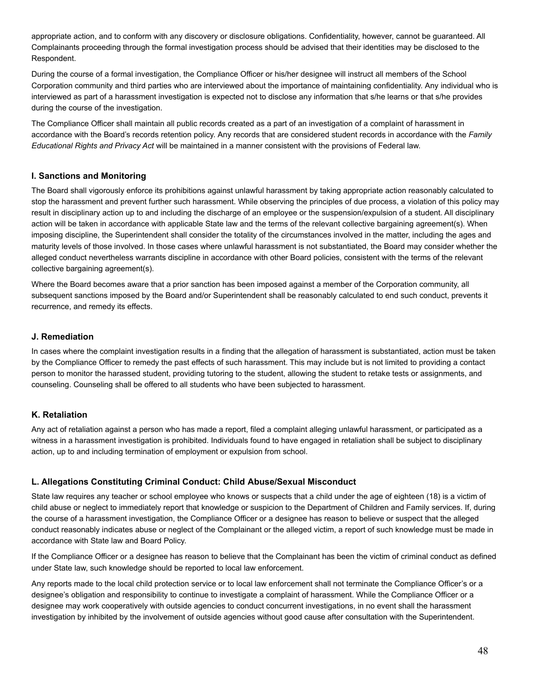appropriate action, and to conform with any discovery or disclosure obligations. Confidentiality, however, cannot be guaranteed. All Complainants proceeding through the formal investigation process should be advised that their identities may be disclosed to the Respondent.

During the course of a formal investigation, the Compliance Officer or his/her designee will instruct all members of the School Corporation community and third parties who are interviewed about the importance of maintaining confidentiality. Any individual who is interviewed as part of a harassment investigation is expected not to disclose any information that s/he learns or that s/he provides during the course of the investigation.

The Compliance Officer shall maintain all public records created as a part of an investigation of a complaint of harassment in accordance with the Board's records retention policy. Any records that are considered student records in accordance with the *Family Educational Rights and Privacy Act* will be maintained in a manner consistent with the provisions of Federal law.

## <span id="page-47-0"></span>**I. Sanctions and Monitoring**

The Board shall vigorously enforce its prohibitions against unlawful harassment by taking appropriate action reasonably calculated to stop the harassment and prevent further such harassment. While observing the principles of due process, a violation of this policy may result in disciplinary action up to and including the discharge of an employee or the suspension/expulsion of a student. All disciplinary action will be taken in accordance with applicable State law and the terms of the relevant collective bargaining agreement(s). When imposing discipline, the Superintendent shall consider the totality of the circumstances involved in the matter, including the ages and maturity levels of those involved. In those cases where unlawful harassment is not substantiated, the Board may consider whether the alleged conduct nevertheless warrants discipline in accordance with other Board policies, consistent with the terms of the relevant collective bargaining agreement(s).

Where the Board becomes aware that a prior sanction has been imposed against a member of the Corporation community, all subsequent sanctions imposed by the Board and/or Superintendent shall be reasonably calculated to end such conduct, prevents it recurrence, and remedy its effects.

#### <span id="page-47-1"></span>**J. Remediation**

In cases where the complaint investigation results in a finding that the allegation of harassment is substantiated, action must be taken by the Compliance Officer to remedy the past effects of such harassment. This may include but is not limited to providing a contact person to monitor the harassed student, providing tutoring to the student, allowing the student to retake tests or assignments, and counseling. Counseling shall be offered to all students who have been subjected to harassment.

## <span id="page-47-2"></span>**K. Retaliation**

Any act of retaliation against a person who has made a report, filed a complaint alleging unlawful harassment, or participated as a witness in a harassment investigation is prohibited. Individuals found to have engaged in retaliation shall be subject to disciplinary action, up to and including termination of employment or expulsion from school.

## <span id="page-47-3"></span>**L. Allegations Constituting Criminal Conduct: Child Abuse/Sexual Misconduct**

State law requires any teacher or school employee who knows or suspects that a child under the age of eighteen (18) is a victim of child abuse or neglect to immediately report that knowledge or suspicion to the Department of Children and Family services. If, during the course of a harassment investigation, the Compliance Officer or a designee has reason to believe or suspect that the alleged conduct reasonably indicates abuse or neglect of the Complainant or the alleged victim, a report of such knowledge must be made in accordance with State law and Board Policy.

If the Compliance Officer or a designee has reason to believe that the Complainant has been the victim of criminal conduct as defined under State law, such knowledge should be reported to local law enforcement.

Any reports made to the local child protection service or to local law enforcement shall not terminate the Compliance Officer's or a designee's obligation and responsibility to continue to investigate a complaint of harassment. While the Compliance Officer or a designee may work cooperatively with outside agencies to conduct concurrent investigations, in no event shall the harassment investigation by inhibited by the involvement of outside agencies without good cause after consultation with the Superintendent.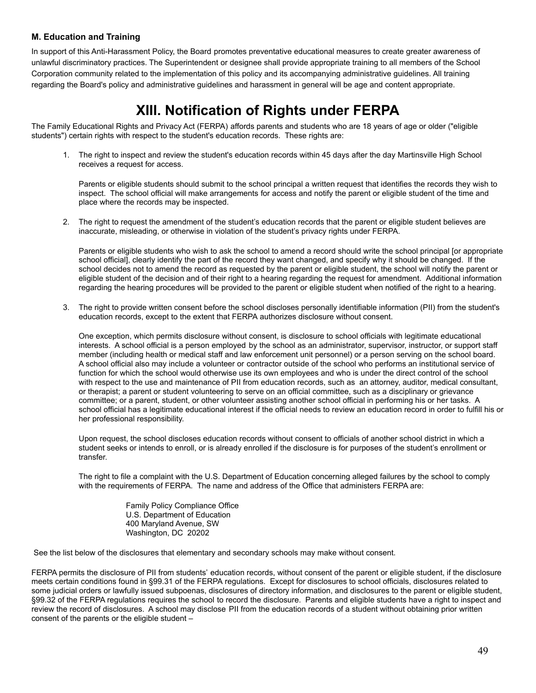### <span id="page-48-0"></span>**M. Education and Training**

In support of this Anti-Harassment Policy, the Board promotes preventative educational measures to create greater awareness of unlawful discriminatory practices. The Superintendent or designee shall provide appropriate training to all members of the School Corporation community related to the implementation of this policy and its accompanying administrative guidelines. All training regarding the Board's policy and administrative guidelines and harassment in general will be age and content appropriate.

## **XIII. Notification of Rights under FERPA**

<span id="page-48-1"></span>The Family Educational Rights and Privacy Act (FERPA) affords parents and students who are 18 years of age or older ("eligible students") certain rights with respect to the student's education records. These rights are:

1. The right to inspect and review the student's education records within 45 days after the day Martinsville High School receives a request for access.

Parents or eligible students should submit to the school principal a written request that identifies the records they wish to inspect. The school official will make arrangements for access and notify the parent or eligible student of the time and place where the records may be inspected.

2. The right to request the amendment of the student's education records that the parent or eligible student believes are inaccurate, misleading, or otherwise in violation of the student's privacy rights under FERPA.

Parents or eligible students who wish to ask the school to amend a record should write the school principal [or appropriate school official], clearly identify the part of the record they want changed, and specify why it should be changed. If the school decides not to amend the record as requested by the parent or eligible student, the school will notify the parent or eligible student of the decision and of their right to a hearing regarding the request for amendment. Additional information regarding the hearing procedures will be provided to the parent or eligible student when notified of the right to a hearing.

3. The right to provide written consent before the school discloses personally identifiable information (PII) from the student's education records, except to the extent that FERPA authorizes disclosure without consent.

One exception, which permits disclosure without consent, is disclosure to school officials with legitimate educational interests. A school official is a person employed by the school as an administrator, supervisor, instructor, or support staff member (including health or medical staff and law enforcement unit personnel) or a person serving on the school board. A school official also may include a volunteer or contractor outside of the school who performs an institutional service of function for which the school would otherwise use its own employees and who is under the direct control of the school with respect to the use and maintenance of PII from education records, such as an attorney, auditor, medical consultant, or therapist; a parent or student volunteering to serve on an official committee, such as a disciplinary or grievance committee; or a parent, student, or other volunteer assisting another school official in performing his or her tasks. A school official has a legitimate educational interest if the official needs to review an education record in order to fulfill his or her professional responsibility.

Upon request, the school discloses education records without consent to officials of another school district in which a student seeks or intends to enroll, or is already enrolled if the disclosure is for purposes of the student's enrollment or transfer.

The right to file a complaint with the U.S. Department of Education concerning alleged failures by the school to comply with the requirements of FERPA. The name and address of the Office that administers FERPA are:

> Family Policy Compliance Office U.S. Department of Education 400 Maryland Avenue, SW Washington, DC 20202

See the list below of the disclosures that elementary and secondary schools may make without consent.

FERPA permits the disclosure of PII from students' education records, without consent of the parent or eligible student, if the disclosure meets certain conditions found in §99.31 of the FERPA regulations. Except for disclosures to school officials, disclosures related to some judicial orders or lawfully issued subpoenas, disclosures of directory information, and disclosures to the parent or eligible student, §99.32 of the FERPA regulations requires the school to record the disclosure. Parents and eligible students have a right to inspect and review the record of disclosures. A school may disclose PII from the education records of a student without obtaining prior written consent of the parents or the eligible student –